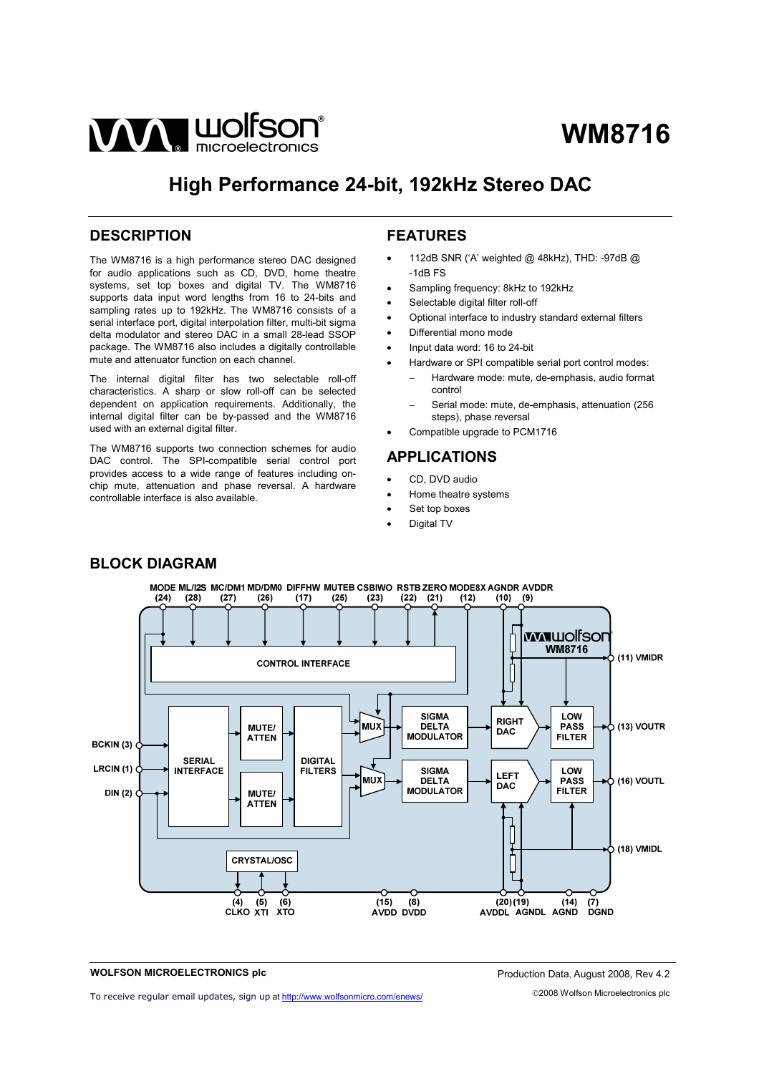

# **High Performance 24-bit, 192kHz Stereo DAC**

# **DESCRIPTION**

The WM8716 is a high performance stereo DAC designed for audio applications such as CD, DVD, home theatre systems, set top boxes and digital TV. The WM8716 supports data input word lengths from 16 to 24-bits and sampling rates up to 192kHz. The WM8716 consists of a serial interface port, digital interpolation filter, multi-bit sigma delta modulator and stereo DAC in a small 28-lead SSOP package. The WM8716 also includes a digitally controllable mute and attenuator function on each channel.

The internal digital filter has two selectable roll-off characteristics. A sharp or slow roll-off can be selected dependent on application requirements. Additionally, the internal digital filter can be by-passed and the WM8716 used with an external digital filter.

The WM8716 supports two connection schemes for audio DAC control. The SPI-compatible serial control port provides access to a wide range of features including onchip mute, attenuation and phase reversal. A hardware controllable interface is also available.

# **FEATURES**

- 112dB SNR ('A' weighted @ 48kHz), THD: -97dB @ -1dB FS
- Sampling frequency: 8kHz to 192kHz
- Selectable digital filter roll-off
- Optional interface to industry standard external filters
- Differential mono mode
- Input data word: 16 to 24-bit
- Hardware or SPI compatible serial port control modes:
	- − Hardware mode: mute, de-emphasis, audio format control
	- − Serial mode: mute, de-emphasis, attenuation (256 steps), phase reversal
- Compatible upgrade to PCM1716

# **APPLICATIONS**

- CD, DVD audio
- Home theatre systems
- Set top boxes
- Digital TV



# **BLOCK DIAGRAM**

#### **WOLFSON MICROELECTRONICS plc**

To receive regular email updates, sign up at<http://www.wolfsonmicro.com/enews/>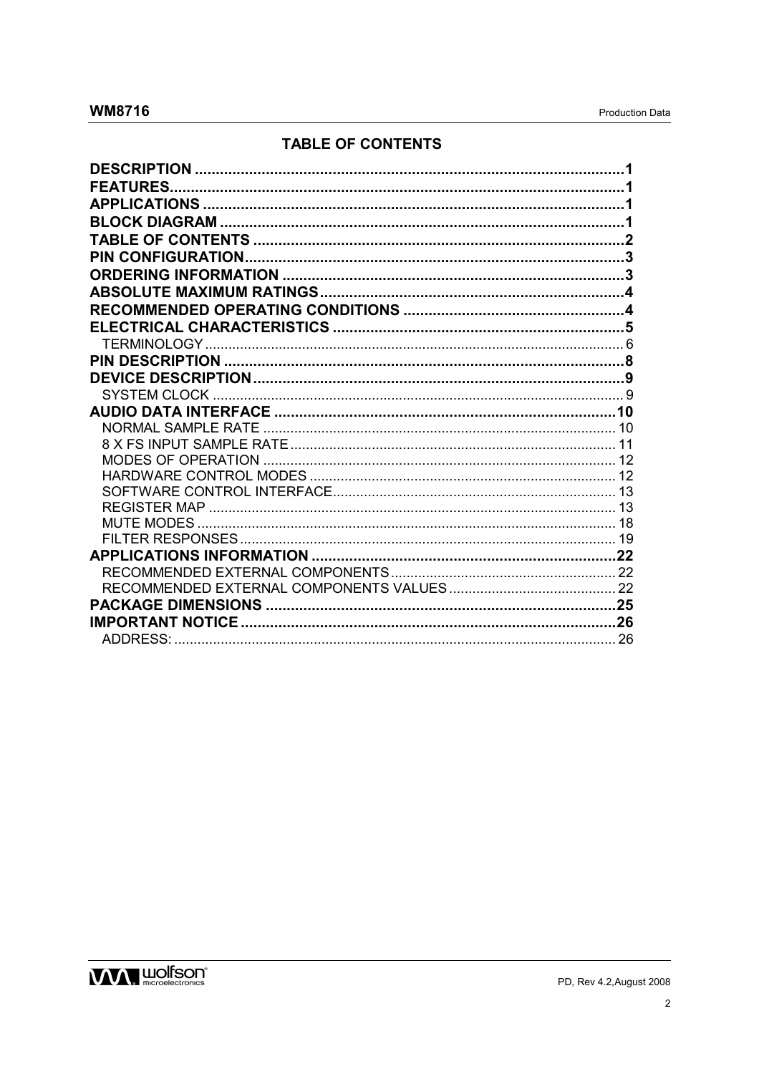# **TABLE OF CONTENTS**

| <b>FEATURES</b> |  |
|-----------------|--|
|                 |  |
|                 |  |
|                 |  |
|                 |  |
|                 |  |
|                 |  |
|                 |  |
|                 |  |
|                 |  |
|                 |  |
|                 |  |
|                 |  |
|                 |  |
|                 |  |
|                 |  |
|                 |  |
|                 |  |
|                 |  |
|                 |  |
|                 |  |
|                 |  |
|                 |  |
|                 |  |
|                 |  |
|                 |  |
|                 |  |
|                 |  |

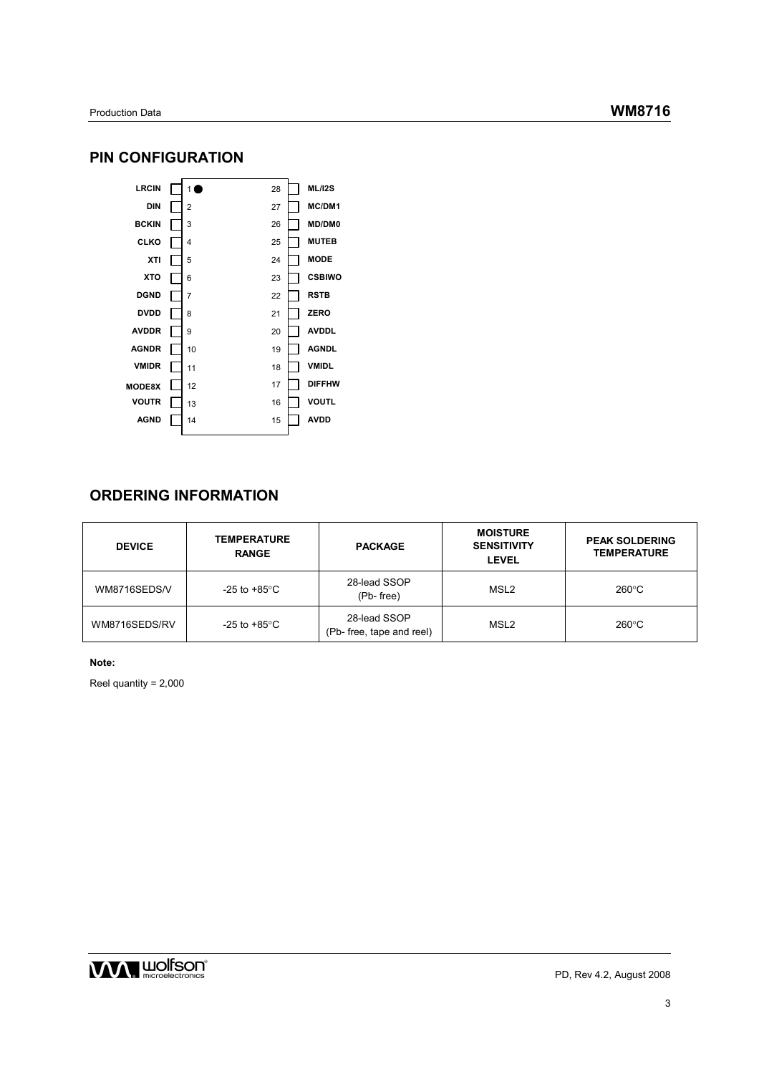# **PIN CONFIGURATION**



# **ORDERING INFORMATION**

| <b>DEVICE</b> | <b>TEMPERATURE</b><br><b>RANGE</b>                                           | <b>PACKAGE</b> | <b>MOISTURE</b><br><b>SENSITIVITY</b><br><b>LEVEL</b> | <b>PEAK SOLDERING</b><br><b>TEMPERATURE</b> |
|---------------|------------------------------------------------------------------------------|----------------|-------------------------------------------------------|---------------------------------------------|
| WM8716SEDS/V  | 28-lead SSOP<br>-25 to +85 $^{\circ}$ C<br>(Pb-free)                         |                | MSL <sub>2</sub>                                      | $260^{\circ}$ C                             |
| WM8716SEDS/RV | 28-lead SSOP<br>-25 to +85 $\mathrm{^{\circ}C}$<br>(Pb- free, tape and reel) |                | MSL <sub>2</sub>                                      | $260^{\circ}$ C                             |

**Note:** 

Reel quantity = 2,000

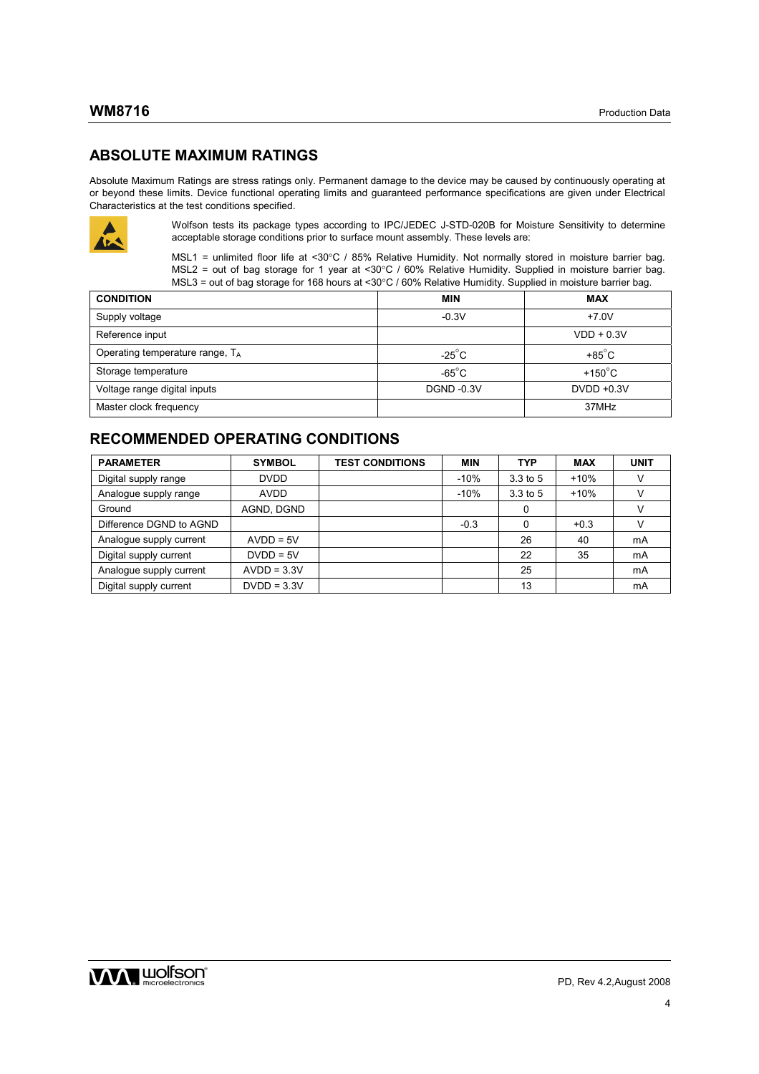# **ABSOLUTE MAXIMUM RATINGS**

Absolute Maximum Ratings are stress ratings only. Permanent damage to the device may be caused by continuously operating at or beyond these limits. Device functional operating limits and guaranteed performance specifications are given under Electrical Characteristics at the test conditions specified.



Wolfson tests its package types according to IPC/JEDEC J-STD-020B for Moisture Sensitivity to determine acceptable storage conditions prior to surface mount assembly. These levels are:

MSL1 = unlimited floor life at <30°C / 85% Relative Humidity. Not normally stored in moisture barrier bag. MSL2 = out of bag storage for 1 year at <30°C / 60% Relative Humidity. Supplied in moisture barrier bag. MSL3 = out of bag storage for 168 hours at <30°C / 60% Relative Humidity. Supplied in moisture barrier bag.

| <b>CONDITION</b>                   | <b>MIN</b>        | <b>MAX</b>        |
|------------------------------------|-------------------|-------------------|
| Supply voltage                     | $-0.3V$           | $+7.0V$           |
| Reference input                    |                   | $VDD + 0.3V$      |
| Operating temperature range, $T_A$ | $-25^{\circ}$ C   | $+85^{\circ}$ C   |
| Storage temperature                | $-65^{\circ}$ C   | +150 $^{\circ}$ C |
| Voltage range digital inputs       | <b>DGND -0.3V</b> | $DVDD +0.3V$      |
| Master clock frequency             |                   | 37MHz             |

# **RECOMMENDED OPERATING CONDITIONS**

| <b>PARAMETER</b>        | <b>SYMBOL</b> | <b>TEST CONDITIONS</b> | <b>MIN</b> | <b>TYP</b>   | <b>MAX</b> | <b>UNIT</b> |
|-------------------------|---------------|------------------------|------------|--------------|------------|-------------|
| Digital supply range    | <b>DVDD</b>   |                        | $-10%$     | $3.3$ to $5$ | $+10%$     |             |
| Analogue supply range   | <b>AVDD</b>   |                        | $-10%$     | $3.3$ to $5$ | $+10%$     |             |
| Ground                  | AGND, DGND    |                        |            | 0            |            |             |
| Difference DGND to AGND |               |                        | $-0.3$     | $\Omega$     | $+0.3$     |             |
| Analogue supply current | $AVDD = 5V$   |                        |            | 26           | 40         | mA          |
| Digital supply current  | $DVDD = 5V$   |                        |            | 22           | 35         | mA          |
| Analogue supply current | $AVDD = 3.3V$ |                        |            | 25           |            | mA          |
| Digital supply current  | $DVDD = 3.3V$ |                        |            | 13           |            | mA          |

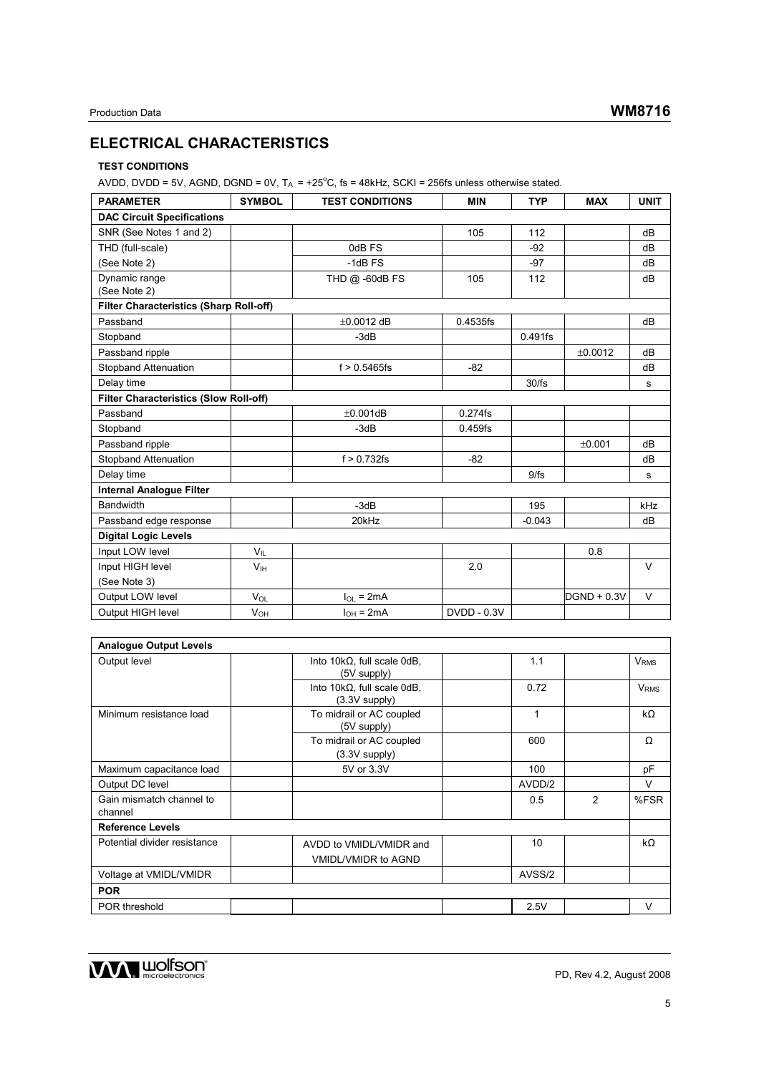# **ELECTRICAL CHARACTERISTICS**

# **TEST CONDITIONS**

AVDD, DVDD = 5V, AGND, DGND = 0V,  $T_A = +25^{\circ}C$ , fs = 48kHz, SCKI = 256fs unless otherwise stated.

| <b>PARAMETER</b>                               | <b>SYMBOL</b>         | <b>TEST CONDITIONS</b> | <b>MIN</b>         | <b>TYP</b> | <b>MAX</b>    | <b>UNIT</b> |  |  |  |
|------------------------------------------------|-----------------------|------------------------|--------------------|------------|---------------|-------------|--|--|--|
| <b>DAC Circuit Specifications</b>              |                       |                        |                    |            |               |             |  |  |  |
| SNR (See Notes 1 and 2)                        |                       |                        | 105                | 112        |               | dB          |  |  |  |
| THD (full-scale)                               |                       | 0dB FS                 |                    | $-92$      |               | dB          |  |  |  |
| (See Note 2)                                   |                       | $-1dB$ FS              |                    | $-97$      |               | dB          |  |  |  |
| Dynamic range<br>(See Note 2)                  |                       | THD @ -60dB FS         | 105                | 112        |               | dB          |  |  |  |
| <b>Filter Characteristics (Sharp Roll-off)</b> |                       |                        |                    |            |               |             |  |  |  |
| Passband                                       |                       | $\pm 0.0012$ dB        | 0.4535fs           |            |               | dB          |  |  |  |
| Stopband                                       |                       | $-3dB$                 |                    | 0.491fs    |               |             |  |  |  |
| Passband ripple                                |                       |                        |                    |            | ±0.0012       | dB          |  |  |  |
| Stopband Attenuation                           |                       | $f > 0.5465$ fs        | $-82$              |            |               | dB          |  |  |  |
| Delay time                                     |                       |                        |                    | 30/fs      |               | s           |  |  |  |
| <b>Filter Characteristics (Slow Roll-off)</b>  |                       |                        |                    |            |               |             |  |  |  |
| Passband                                       |                       | $\pm 0.001$ dB         | 0.274fs            |            |               |             |  |  |  |
| Stopband                                       |                       | $-3dB$                 | $0.459$ fs         |            |               |             |  |  |  |
| Passband ripple                                |                       |                        |                    |            | ±0.001        | dB          |  |  |  |
| <b>Stopband Attenuation</b>                    |                       | $f > 0.732$ fs         | $-82$              |            |               | dB          |  |  |  |
| Delay time                                     |                       |                        |                    | 9/fs       |               | s           |  |  |  |
| <b>Internal Analogue Filter</b>                |                       |                        |                    |            |               |             |  |  |  |
| <b>Bandwidth</b>                               |                       | $-3dB$                 |                    | 195        |               | kHz         |  |  |  |
| Passband edge response                         |                       | 20kHz                  |                    | $-0.043$   |               | dB          |  |  |  |
| <b>Digital Logic Levels</b>                    |                       |                        |                    |            |               |             |  |  |  |
| Input LOW level                                | $V_{\parallel}$       |                        |                    |            | 0.8           |             |  |  |  |
| Input HIGH level                               | V <sub>IH</sub>       |                        | 2.0                |            |               | $\vee$      |  |  |  |
| (See Note 3)                                   |                       |                        |                    |            |               |             |  |  |  |
| Output LOW level                               | $V_{OL}$              | $I_{OL}$ = 2mA         |                    |            | $DGND + 0.3V$ | V           |  |  |  |
| Output HIGH level                              | <b>V<sub>OH</sub></b> | $I_{OH} = 2mA$         | <b>DVDD - 0.3V</b> |            |               |             |  |  |  |

| <b>Analogue Output Levels</b>       |                                                          |        |   |                        |
|-------------------------------------|----------------------------------------------------------|--------|---|------------------------|
| Output level                        | Into $10k\Omega$ , full scale $0dB$ ,<br>(5V supply)     | 1.1    |   | <b>V<sub>RMS</sub></b> |
|                                     | Into $10k\Omega$ , full scale $0dB$ ,<br>$(3.3V$ supply) | 0.72   |   | <b>V<sub>RMS</sub></b> |
| Minimum resistance load             | To midrail or AC coupled<br>(5V supply)                  | 1      |   | $k\Omega$              |
|                                     | To midrail or AC coupled<br>$(3.3V$ supply)              | 600    |   | Ω                      |
| Maximum capacitance load            | 5V or 3.3V                                               | 100    |   | pF                     |
| Output DC level                     |                                                          | AVDD/2 |   | v                      |
| Gain mismatch channel to<br>channel |                                                          | 0.5    | 2 | %FSR                   |
| <b>Reference Levels</b>             |                                                          |        |   |                        |
| Potential divider resistance        | AVDD to VMIDL/VMIDR and<br><b>VMIDL/VMIDR to AGND</b>    | 10     |   | $k\Omega$              |
| Voltage at VMIDL/VMIDR              |                                                          | AVSS/2 |   |                        |
| <b>POR</b>                          |                                                          |        |   |                        |
| POR threshold                       |                                                          | 2.5V   |   | v                      |

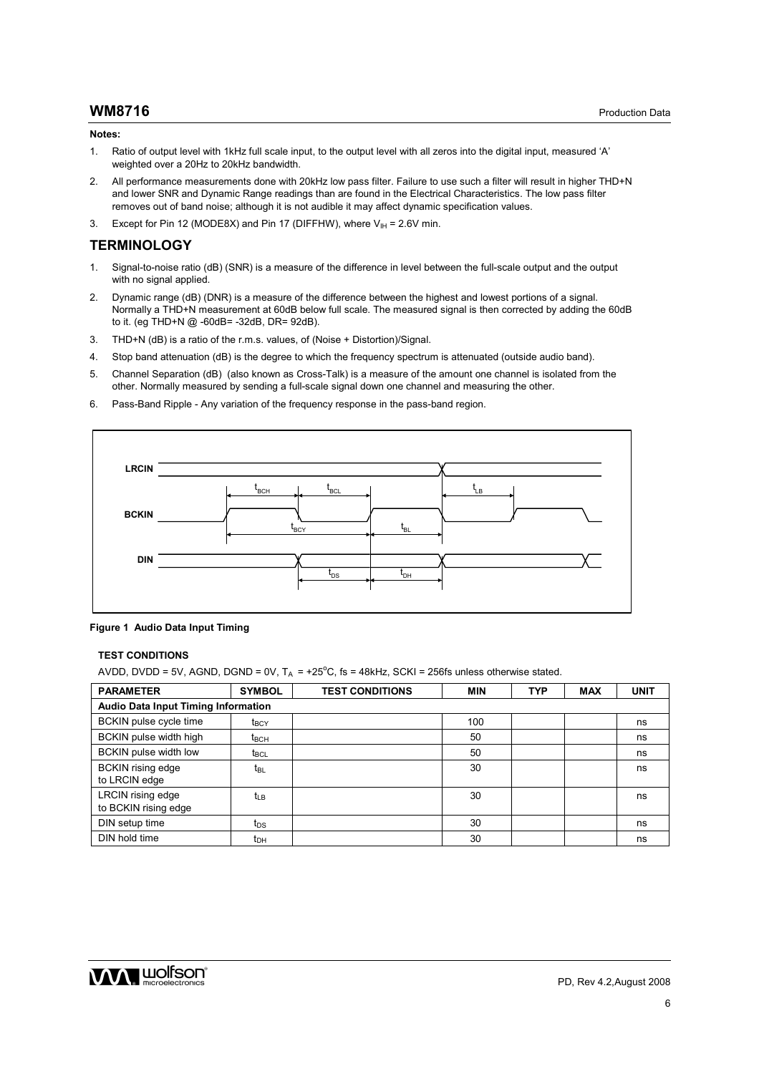#### **Notes:**

- 1. Ratio of output level with 1kHz full scale input, to the output level with all zeros into the digital input, measured 'A' weighted over a 20Hz to 20kHz bandwidth.
- 2. All performance measurements done with 20kHz low pass filter. Failure to use such a filter will result in higher THD+N and lower SNR and Dynamic Range readings than are found in the Electrical Characteristics. The low pass filter removes out of band noise; although it is not audible it may affect dynamic specification values.
- 3. Except for Pin 12 (MODE8X) and Pin 17 (DIFFHW), where  $V_{\text{IH}} = 2.6V$  min.

#### **TERMINOLOGY**

- 1. Signal-to-noise ratio (dB) (SNR) is a measure of the difference in level between the full-scale output and the output with no signal applied.
- 2. Dynamic range (dB) (DNR) is a measure of the difference between the highest and lowest portions of a signal. Normally a THD+N measurement at 60dB below full scale. The measured signal is then corrected by adding the 60dB to it. (eg THD+N @ -60dB= -32dB, DR= 92dB).
- 3. THD+N (dB) is a ratio of the r.m.s. values, of (Noise + Distortion)/Signal.
- 4. Stop band attenuation (dB) is the degree to which the frequency spectrum is attenuated (outside audio band).
- 5. Channel Separation (dB) (also known as Cross-Talk) is a measure of the amount one channel is isolated from the other. Normally measured by sending a full-scale signal down one channel and measuring the other.
- 6. Pass-Band Ripple Any variation of the frequency response in the pass-band region.



**Figure 1 Audio Data Input Timing** 

#### **TEST CONDITIONS**

AVDD, DVDD = 5V, AGND, DGND = 0V,  $T_A = +25^{\circ}C$ , fs = 48kHz, SCKI = 256fs unless otherwise stated.

| <b>PARAMETER</b>                                 | <b>SYMBOL</b>           | <b>TEST CONDITIONS</b> | <b>MIN</b> | <b>TYP</b> | <b>MAX</b> | <b>UNIT</b> |
|--------------------------------------------------|-------------------------|------------------------|------------|------------|------------|-------------|
| <b>Audio Data Input Timing Information</b>       |                         |                        |            |            |            |             |
| BCKIN pulse cycle time                           | <b>t</b> <sub>BCY</sub> |                        | 100        |            |            | ns          |
| BCKIN pulse width high                           | $t_{\rm BCH}$           |                        | 50         |            |            | ns          |
| <b>BCKIN</b> pulse width low                     | $t_{\text{BCL}}$        |                        | 50         |            |            | ns          |
| <b>BCKIN</b> rising edge<br>to LRCIN edge        | t <sub>BL</sub>         |                        | 30         |            |            | ns          |
| <b>LRCIN</b> rising edge<br>to BCKIN rising edge | $t_{LB}$                |                        | 30         |            |            | ns          |
| DIN setup time                                   | t <sub>DS</sub>         |                        | 30         |            |            | ns          |
| DIN hold time                                    | t <sub>DH</sub>         |                        | 30         |            |            | ns          |

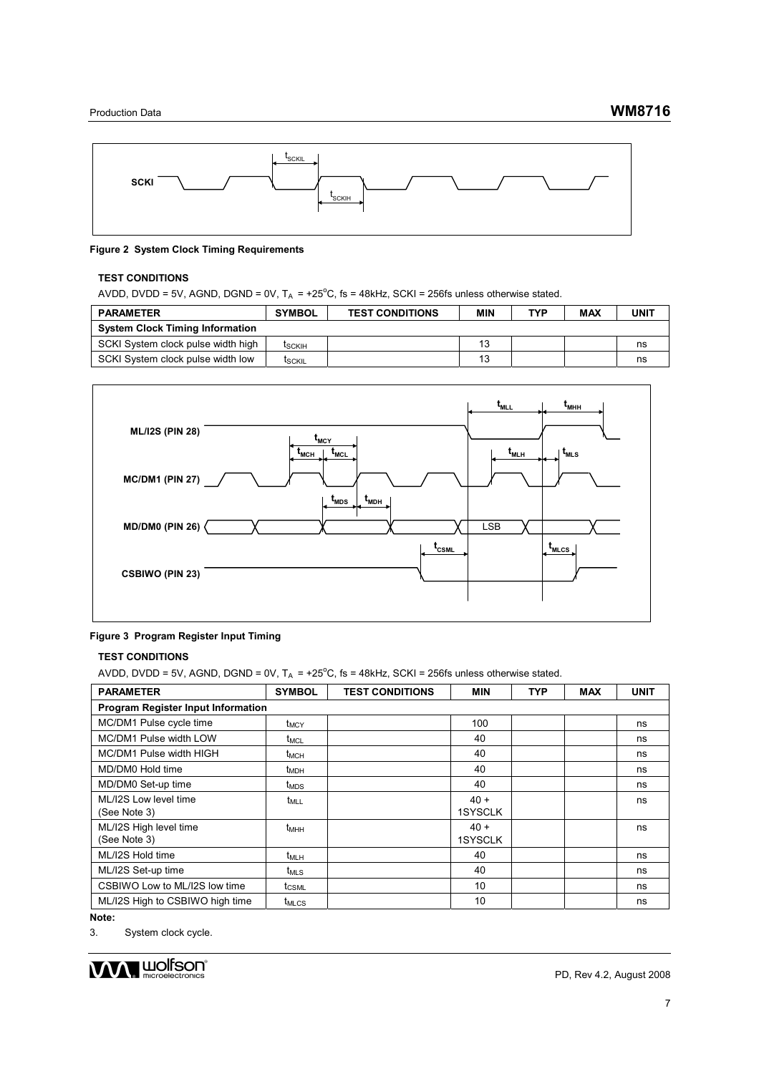

#### **Figure 2 System Clock Timing Requirements**

### **TEST CONDITIONS**

AVDD, DVDD = 5V, AGND, DGND = 0V,  $T_A = +25^{\circ}C$ , fs = 48kHz, SCKI = 256fs unless otherwise stated.

| <b>PARAMETER</b>                       | <b>SYMBOL</b> | <b>TEST CONDITIONS</b> | MIN | <b>TYP</b> | MAX | UNIT |
|----------------------------------------|---------------|------------------------|-----|------------|-----|------|
| <b>System Clock Timing Information</b> |               |                        |     |            |     |      |
| SCKI System clock pulse width high     | <b>ISCKIH</b> |                        | 13  |            |     | ns   |
| SCKI System clock pulse width low      | <b>ISCKIL</b> |                        | 13  |            |     | ns   |



#### **Figure 3 Program Register Input Timing**

#### **TEST CONDITIONS**

AVDD, DVDD = 5V, AGND, DGND = 0V,  $T_A = +25^{\circ}C$ , fs = 48kHz, SCKI = 256fs unless otherwise stated.

| <b>PARAMETER</b>                          | <b>SYMBOL</b>           | <b>TEST CONDITIONS</b> | <b>MIN</b>               | <b>TYP</b> | MAX | <b>UNIT</b> |
|-------------------------------------------|-------------------------|------------------------|--------------------------|------------|-----|-------------|
| <b>Program Register Input Information</b> |                         |                        |                          |            |     |             |
| MC/DM1 Pulse cycle time                   | <b>t</b> <sub>MCY</sub> |                        | 100                      |            |     | ns          |
| MC/DM1 Pulse width LOW                    | t <sub>MCL</sub>        |                        | 40                       |            |     | ns          |
| MC/DM1 Pulse width HIGH                   | t <sub>MCH</sub>        |                        | 40                       |            |     | ns          |
| MD/DM0 Hold time                          | t <sub>MDH</sub>        |                        | 40                       |            |     | ns          |
| MD/DM0 Set-up time                        | t <sub>MDS</sub>        |                        | 40                       |            |     | ns          |
| ML/I2S Low level time<br>(See Note 3)     | $t_{MLL}$               |                        | $40 +$<br><b>1SYSCLK</b> |            |     | ns          |
| ML/I2S High level time<br>(See Note 3)    | $t_{MHH}$               |                        | $40 +$<br><b>1SYSCLK</b> |            |     | ns          |
| ML/I2S Hold time                          | $t_{MLH}$               |                        | 40                       |            |     | ns          |
| ML/I2S Set-up time                        | $t_{MLS}$               |                        | 40                       |            |     | ns          |
| CSBIWO Low to ML/I2S low time             | $t_{CSML}$              |                        | 10                       |            |     | ns          |
| ML/I2S High to CSBIWO high time           | <b>t<sub>MLCS</sub></b> |                        | 10                       |            |     | ns          |

**Note:**

3. System clock cycle.

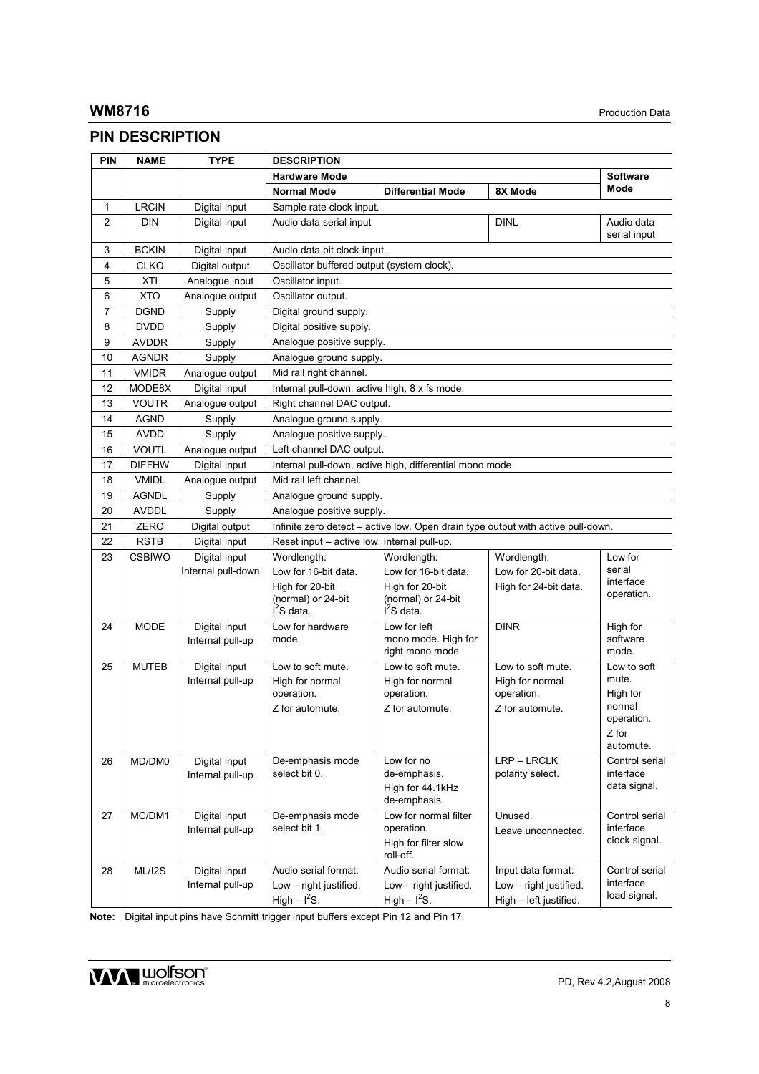# **PIN DESCRIPTION**

| PIN            | <b>NAME</b>   | <b>TYPE</b>                       | <b>DESCRIPTION</b>                            |                                                         |                                                                                  |                            |
|----------------|---------------|-----------------------------------|-----------------------------------------------|---------------------------------------------------------|----------------------------------------------------------------------------------|----------------------------|
|                |               |                                   | <b>Hardware Mode</b>                          |                                                         |                                                                                  | <b>Software</b>            |
|                |               |                                   | <b>Normal Mode</b>                            | <b>Differential Mode</b>                                | 8X Mode                                                                          | Mode                       |
| 1              | <b>LRCIN</b>  | Digital input                     | Sample rate clock input.                      |                                                         |                                                                                  |                            |
| $\overline{2}$ | <b>DIN</b>    | Digital input                     | Audio data serial input                       |                                                         | <b>DINL</b>                                                                      | Audio data<br>serial input |
| 3              | <b>BCKIN</b>  | Digital input                     | Audio data bit clock input.                   |                                                         |                                                                                  |                            |
| 4              | <b>CLKO</b>   | Digital output                    | Oscillator buffered output (system clock).    |                                                         |                                                                                  |                            |
| 5              | XTI           | Analoque input                    | Oscillator input.                             |                                                         |                                                                                  |                            |
| 6              | <b>XTO</b>    | Analogue output                   | Oscillator output.                            |                                                         |                                                                                  |                            |
| 7              | <b>DGND</b>   | Supply                            | Digital ground supply.                        |                                                         |                                                                                  |                            |
| 8              | <b>DVDD</b>   | Supply                            | Digital positive supply.                      |                                                         |                                                                                  |                            |
| 9              | <b>AVDDR</b>  | Supply                            | Analogue positive supply.                     |                                                         |                                                                                  |                            |
| 10             | <b>AGNDR</b>  | Supply                            | Analogue ground supply.                       |                                                         |                                                                                  |                            |
| 11             | <b>VMIDR</b>  | Analogue output                   | Mid rail right channel.                       |                                                         |                                                                                  |                            |
| 12             | MODE8X        | Digital input                     | Internal pull-down, active high, 8 x fs mode. |                                                         |                                                                                  |                            |
| 13             | <b>VOUTR</b>  | Analogue output                   | Right channel DAC output.                     |                                                         |                                                                                  |                            |
| 14             | <b>AGND</b>   | Supply                            | Analogue ground supply.                       |                                                         |                                                                                  |                            |
| 15             | <b>AVDD</b>   | Supply                            | Analogue positive supply.                     |                                                         |                                                                                  |                            |
| 16             | <b>VOUTL</b>  | Analogue output                   | Left channel DAC output.                      |                                                         |                                                                                  |                            |
| 17             | <b>DIFFHW</b> | Digital input                     |                                               | Internal pull-down, active high, differential mono mode |                                                                                  |                            |
| 18             | <b>VMIDL</b>  | Analoque output                   | Mid rail left channel.                        |                                                         |                                                                                  |                            |
| 19             | <b>AGNDL</b>  | Supply                            | Analogue ground supply.                       |                                                         |                                                                                  |                            |
| 20             | <b>AVDDL</b>  | Supply                            | Analoque positive supply.                     |                                                         |                                                                                  |                            |
| 21             | ZERO          | Digital output                    |                                               |                                                         | Infinite zero detect – active low. Open drain type output with active pull-down. |                            |
| 22             | <b>RSTB</b>   | Digital input                     | Reset input – active low. Internal pull-up.   |                                                         |                                                                                  |                            |
| 23             | <b>CSBIWO</b> | Digital input                     | Wordlength:                                   | Wordlength:                                             | Wordlength:                                                                      | Low for                    |
|                |               | Internal pull-down                | Low for 16-bit data.                          | Low for 16-bit data.                                    | Low for 20-bit data.                                                             | serial                     |
|                |               |                                   | High for 20-bit                               | High for 20-bit                                         | High for 24-bit data.                                                            | interface                  |
|                |               |                                   | (normal) or 24-bit                            | (normal) or 24-bit                                      |                                                                                  | operation.                 |
|                |               |                                   | $I^2S$ data.                                  | $I2S$ data.                                             |                                                                                  |                            |
| 24             | <b>MODE</b>   | Digital input                     | Low for hardware                              | Low for left                                            | <b>DINR</b>                                                                      | High for                   |
|                |               | Internal pull-up                  | mode.                                         | mono mode. High for                                     |                                                                                  | software                   |
|                |               |                                   |                                               | right mono mode<br>Low to soft mute.                    |                                                                                  | mode.                      |
| 25             | <b>MUTEB</b>  | Digital input<br>Internal pull-up | Low to soft mute.<br>High for normal          | High for normal                                         | Low to soft mute.<br>High for normal                                             | Low to soft<br>mute.       |
|                |               |                                   | operation.                                    | operation.                                              | operation.                                                                       | High for                   |
|                |               |                                   | Z for automute.                               | Z for automute.                                         | Z for automute.                                                                  | normal                     |
|                |               |                                   |                                               |                                                         |                                                                                  | operation.                 |
|                |               |                                   |                                               |                                                         |                                                                                  | Z for                      |
|                |               |                                   |                                               |                                                         |                                                                                  | automute.                  |
| 26             | MD/DM0        | Digital input                     | De-emphasis mode                              | Low for no                                              | LRP - LRCLK                                                                      | Control serial             |
|                |               | Internal pull-up                  | select bit 0.                                 | de-emphasis.                                            | polarity select.                                                                 | interface                  |
|                |               |                                   |                                               | High for 44.1kHz<br>de-emphasis.                        |                                                                                  | data signal.               |
| 27             | MC/DM1        | Digital input                     | De-emphasis mode                              | Low for normal filter                                   | Unused.                                                                          | Control serial             |
|                |               | Internal pull-up                  | select bit 1.                                 | operation.                                              |                                                                                  | interface                  |
|                |               |                                   |                                               | High for filter slow                                    | Leave unconnected.                                                               | clock signal.              |
|                |               |                                   |                                               | roll-off.                                               |                                                                                  |                            |
| 28             | ML/I2S        | Digital input                     | Audio serial format:                          | Audio serial format:                                    | Input data format:                                                               | Control serial             |
|                |               | Internal pull-up                  | Low - right justified.                        | Low - right justified.                                  | Low - right justified.                                                           | interface                  |
|                |               |                                   | High $-12S$ .                                 | High $-12S$ .                                           | High - left justified.                                                           | load signal.               |

**Note:** Digital input pins have Schmitt trigger input buffers except Pin 12 and Pin 17.

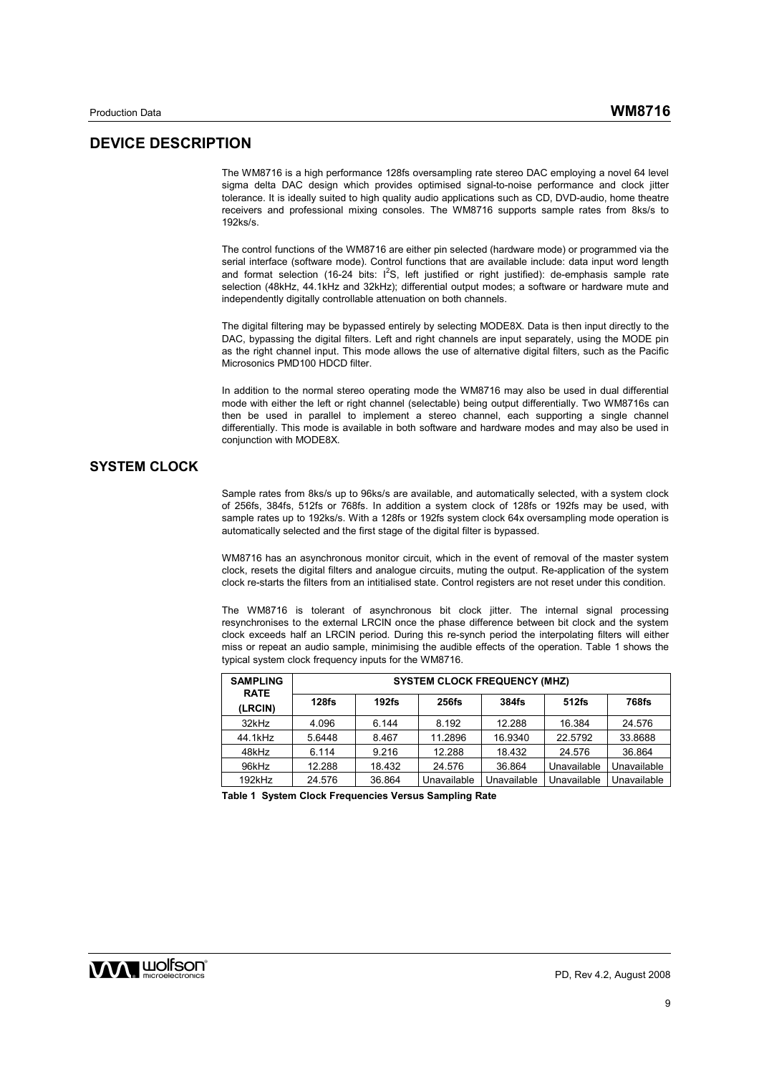# **DEVICE DESCRIPTION**

The WM8716 is a high performance 128fs oversampling rate stereo DAC employing a novel 64 level sigma delta DAC design which provides optimised signal-to-noise performance and clock jitter tolerance. It is ideally suited to high quality audio applications such as CD, DVD-audio, home theatre receivers and professional mixing consoles. The WM8716 supports sample rates from 8ks/s to 192ks/s.

The control functions of the WM8716 are either pin selected (hardware mode) or programmed via the serial interface (software mode). Control functions that are available include: data input word length and format selection (16-24 bits:  $1^2$ S, left justified or right justified): de-emphasis sample rate selection (48kHz, 44.1kHz and 32kHz); differential output modes; a software or hardware mute and independently digitally controllable attenuation on both channels.

The digital filtering may be bypassed entirely by selecting MODE8X. Data is then input directly to the DAC, bypassing the digital filters. Left and right channels are input separately, using the MODE pin as the right channel input. This mode allows the use of alternative digital filters, such as the Pacific Microsonics PMD100 HDCD filter.

In addition to the normal stereo operating mode the WM8716 may also be used in dual differential mode with either the left or right channel (selectable) being output differentially. Two WM8716s can then be used in parallel to implement a stereo channel, each supporting a single channel differentially. This mode is available in both software and hardware modes and may also be used in conjunction with MODE8X.

# **SYSTEM CLOCK**

Sample rates from 8ks/s up to 96ks/s are available, and automatically selected, with a system clock of 256fs, 384fs, 512fs or 768fs. In addition a system clock of 128fs or 192fs may be used, with sample rates up to 192ks/s. With a 128fs or 192fs system clock 64x oversampling mode operation is automatically selected and the first stage of the digital filter is bypassed.

WM8716 has an asynchronous monitor circuit, which in the event of removal of the master system clock, resets the digital filters and analogue circuits, muting the output. Re-application of the system clock re-starts the filters from an intitialised state. Control registers are not reset under this condition.

The WM8716 is tolerant of asynchronous bit clock jitter. The internal signal processing resynchronises to the external LRCIN once the phase difference between bit clock and the system clock exceeds half an LRCIN period. During this re-synch period the interpolating filters will either miss or repeat an audio sample, minimising the audible effects of the operation. Table 1 shows the typical system clock frequency inputs for the WM8716.

| <b>SAMPLING</b><br><b>RATE</b> | <b>SYSTEM CLOCK FREQUENCY (MHZ)</b> |          |              |             |             |              |  |  |
|--------------------------------|-------------------------------------|----------|--------------|-------------|-------------|--------------|--|--|
| (LRCIN)                        | 128f <sub>S</sub>                   | $192$ fs | <b>256fs</b> | 384fs       | 512fs       | <b>768fs</b> |  |  |
| 32kHz                          | 4.096                               | 6.144    | 8.192        | 12.288      | 16.384      | 24.576       |  |  |
| 44.1kHz                        | 5.6448                              | 8.467    | 11.2896      | 16.9340     | 22.5792     | 33.8688      |  |  |
| 48kHz                          | 6.114                               | 9.216    | 12.288       | 18.432      | 24.576      | 36.864       |  |  |
| 96kHz                          | 12.288                              | 18.432   | 24.576       | 36.864      | Unavailable | Unavailable  |  |  |
| 192kHz                         | 24.576                              | 36.864   | Unavailable  | Unavailable | Unavailable | Unavailable  |  |  |

**Table 1 System Clock Frequencies Versus Sampling Rate** 

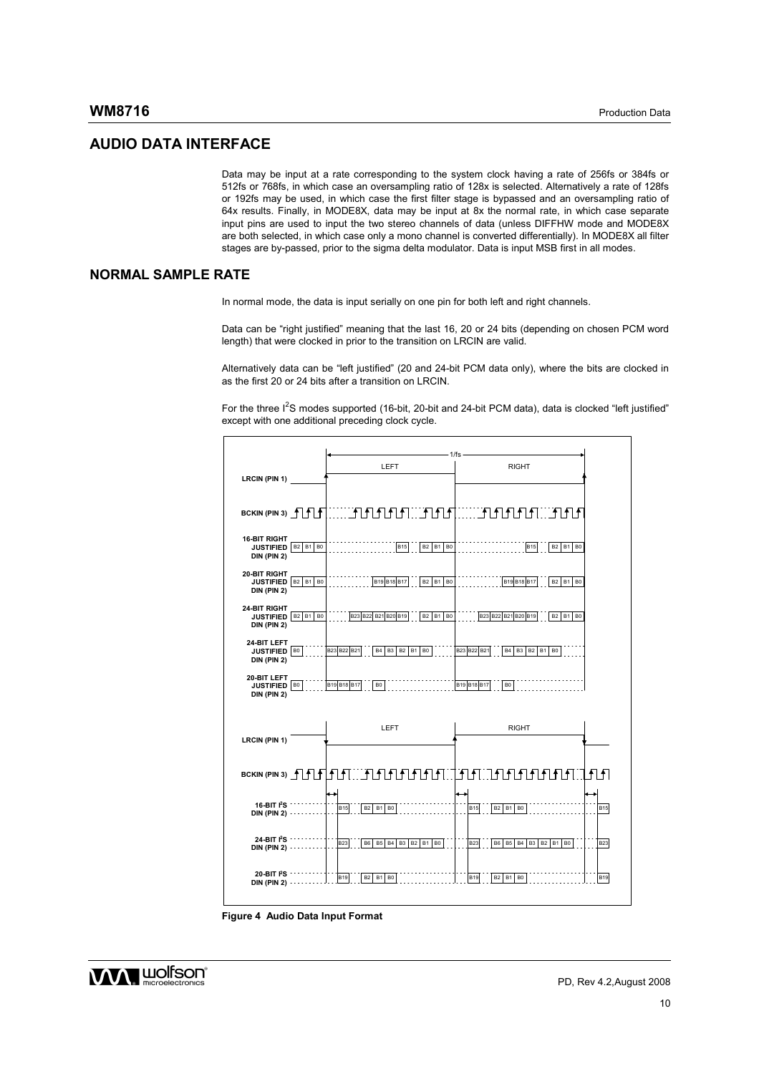## **AUDIO DATA INTERFACE**

Data may be input at a rate corresponding to the system clock having a rate of 256fs or 384fs or 512fs or 768fs, in which case an oversampling ratio of 128x is selected. Alternatively a rate of 128fs or 192fs may be used, in which case the first filter stage is bypassed and an oversampling ratio of 64x results. Finally, in MODE8X, data may be input at 8x the normal rate, in which case separate input pins are used to input the two stereo channels of data (unless DIFFHW mode and MODE8X are both selected, in which case only a mono channel is converted differentially). In MODE8X all filter stages are by-passed, prior to the sigma delta modulator. Data is input MSB first in all modes.

# **NORMAL SAMPLE RATE**

In normal mode, the data is input serially on one pin for both left and right channels.

Data can be "right justified" meaning that the last 16, 20 or 24 bits (depending on chosen PCM word length) that were clocked in prior to the transition on LRCIN are valid.

Alternatively data can be "left justified" (20 and 24-bit PCM data only), where the bits are clocked in as the first 20 or 24 bits after a transition on LRCIN.

For the three I<sup>2</sup>S modes supported (16-bit, 20-bit and 24-bit PCM data), data is clocked "left justified" except with one additional preceding clock cycle.

|                                                                             |                                                                       | -1/fs -                                                                                                      |
|-----------------------------------------------------------------------------|-----------------------------------------------------------------------|--------------------------------------------------------------------------------------------------------------|
|                                                                             | LEFT                                                                  | <b>RIGHT</b>                                                                                                 |
| LRCIN (PIN 1)                                                               |                                                                       |                                                                                                              |
|                                                                             |                                                                       |                                                                                                              |
|                                                                             |                                                                       |                                                                                                              |
| <b>16-BIT RIGHT</b><br>JUSTIFIED   B2   B1   B0<br>DIN (PIN 2)              | B2 B1 B0<br><b>B15</b>                                                | <b>B15</b><br>B <sub>2</sub> B <sub>1</sub><br>B <sub>0</sub>                                                |
| <b>20-BIT RIGHT</b><br>JUSTIFIED   B2   B1   B0<br>DIN (PIN 2)              | B19 B18 B17<br>B2 B1 B0                                               | B19 B18 B17<br>B <sub>2</sub> B <sub>1</sub><br>B <sub>0</sub>                                               |
| <b>24-BIT RIGHT</b><br>JUSTIFIED   B2   B1<br>B <sub>0</sub><br>DIN (PIN 2) | B23 B22 B21 B20 B19<br>B <sub>2</sub> B <sub>1</sub> B <sub>0</sub>   | B23 B22 B21 B20 B19<br>B <sub>2</sub> B <sub>1</sub><br>B <sub>0</sub>                                       |
| 24-BIT LEFT<br>JUSTIFIED   BO<br>DIN (PIN 2)                                | B23 B22 B21<br>B4 B3 B2 B1<br>B <sub>0</sub>                          | B23 B22 B21<br>B2 B1<br>B4 B3<br>B <sub>0</sub>                                                              |
| 20-BIT LEFT<br>JUSTIFIED   BO<br>DIN (PIN 2)                                | B19 B18 B17<br>B <sub>0</sub>                                         | B19 B18 B17<br>B <sub>0</sub>                                                                                |
|                                                                             |                                                                       |                                                                                                              |
| LRCIN (PIN 1)                                                               | LEFT                                                                  | <b>RIGHT</b>                                                                                                 |
|                                                                             |                                                                       |                                                                                                              |
|                                                                             |                                                                       |                                                                                                              |
|                                                                             |                                                                       |                                                                                                              |
|                                                                             |                                                                       |                                                                                                              |
| 16-BIT $PS^{-1}$<br>$DIN$ (PIN 2) $\cdots$                                  | <b>B2</b><br><b>B1</b> B0<br><b>B15</b>                               | <b>B15</b><br>B2 B1<br>B <sub>0</sub><br><b>B15</b>                                                          |
|                                                                             |                                                                       |                                                                                                              |
| 24-BIT $PS$ $\cdots$                                                        | <b>B23</b><br><b>B6</b><br><b>B5</b> B4<br>B3 B2 B1<br>B <sub>0</sub> | <b>B23</b><br><b>B6</b><br><b>B5</b><br><b>B4</b><br>B <sub>3</sub><br>B2 B1<br><b>B23</b><br>B <sub>0</sub> |
| $DIN (PIN 2) \cdots \cdots$                                                 |                                                                       |                                                                                                              |
| 20-BIT PS<br>$DIN (PIN 2) \cdots \cdots$                                    | <b>B19</b><br>B2 B1 B0                                                | B2 B1 B0<br><b>B19</b><br><b>B19</b>                                                                         |
|                                                                             |                                                                       |                                                                                                              |

**Figure 4 Audio Data Input Format** 

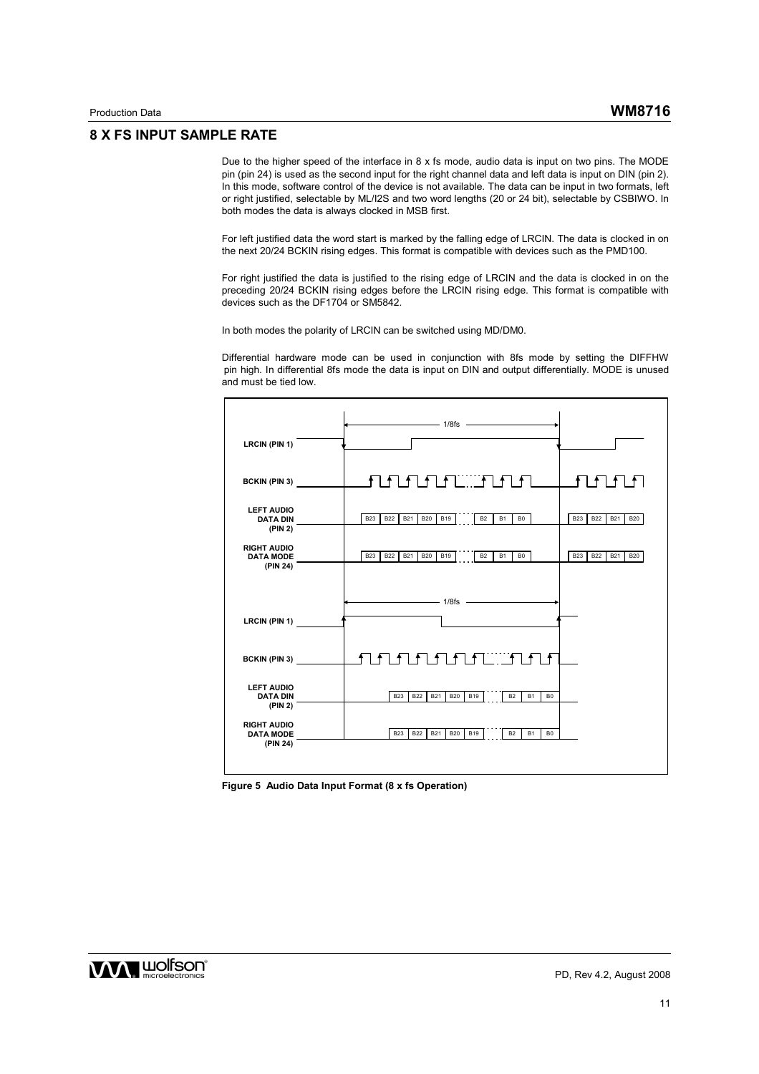### **8 X FS INPUT SAMPLE RATE**

Due to the higher speed of the interface in 8 x fs mode, audio data is input on two pins. The MODE pin (pin 24) is used as the second input for the right channel data and left data is input on DIN (pin 2). In this mode, software control of the device is not available. The data can be input in two formats, left or right justified, selectable by ML/I2S and two word lengths (20 or 24 bit), selectable by CSBIWO. In both modes the data is always clocked in MSB first.

For left justified data the word start is marked by the falling edge of LRCIN. The data is clocked in on the next 20/24 BCKIN rising edges. This format is compatible with devices such as the PMD100.

For right justified the data is justified to the rising edge of LRCIN and the data is clocked in on the preceding 20/24 BCKIN rising edges before the LRCIN rising edge. This format is compatible with devices such as the DF1704 or SM5842.

In both modes the polarity of LRCIN can be switched using MD/DM0.

Differential hardware mode can be used in conjunction with 8fs mode by setting the DIFFHW pin high. In differential 8fs mode the data is input on DIN and output differentially. MODE is unused and must be tied low.



**Figure 5 Audio Data Input Format (8 x fs Operation)** 

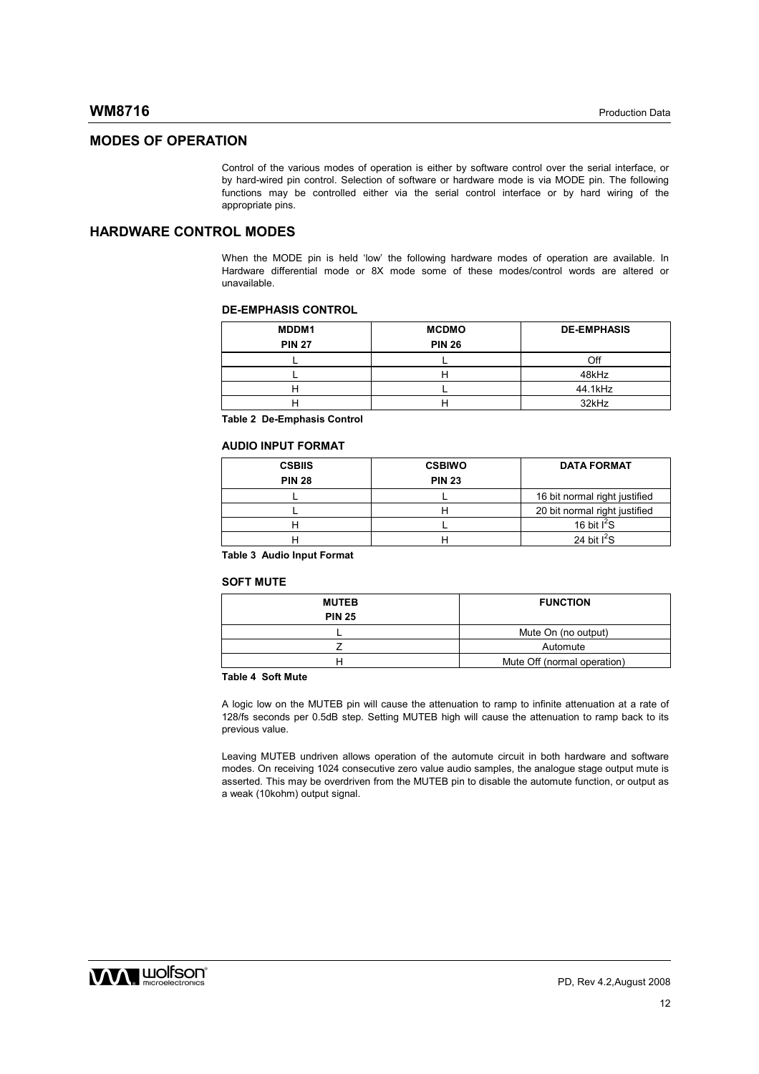### **MODES OF OPERATION**

Control of the various modes of operation is either by software control over the serial interface, or by hard-wired pin control. Selection of software or hardware mode is via MODE pin. The following functions may be controlled either via the serial control interface or by hard wiring of the appropriate pins.

## **HARDWARE CONTROL MODES**

When the MODE pin is held 'low' the following hardware modes of operation are available. In Hardware differential mode or 8X mode some of these modes/control words are altered or unavailable.

#### **DE-EMPHASIS CONTROL**

| MDDM1<br><b>PIN 27</b> | <b>MCDMO</b><br><b>PIN 26</b> | <b>DE-EMPHASIS</b> |
|------------------------|-------------------------------|--------------------|
|                        |                               | Off                |
|                        |                               | 48kHz              |
|                        |                               |                    |
|                        |                               | 44.1kHz            |
|                        |                               | 32kHz              |

**Table 2 De-Emphasis Control** 

#### **AUDIO INPUT FORMAT**

| <b>CSBIIS</b> | <b>CSBIWO</b> | <b>DATA FORMAT</b>            |
|---------------|---------------|-------------------------------|
| <b>PIN 28</b> | <b>PIN 23</b> |                               |
|               |               | 16 bit normal right justified |
|               |               | 20 bit normal right justified |
|               |               | 16 bit $I^2S$                 |
|               |               | 24 bit $I^2S$                 |

**Table 3 Audio Input Format** 

#### **SOFT MUTE**

| <b>MUTEB</b>  | <b>FUNCTION</b>             |
|---------------|-----------------------------|
| <b>PIN 25</b> |                             |
|               | Mute On (no output)         |
|               | Automute                    |
|               | Mute Off (normal operation) |

#### **Table 4 Soft Mute**

A logic low on the MUTEB pin will cause the attenuation to ramp to infinite attenuation at a rate of 128/fs seconds per 0.5dB step. Setting MUTEB high will cause the attenuation to ramp back to its previous value.

Leaving MUTEB undriven allows operation of the automute circuit in both hardware and software modes. On receiving 1024 consecutive zero value audio samples, the analogue stage output mute is asserted. This may be overdriven from the MUTEB pin to disable the automute function, or output as a weak (10kohm) output signal.

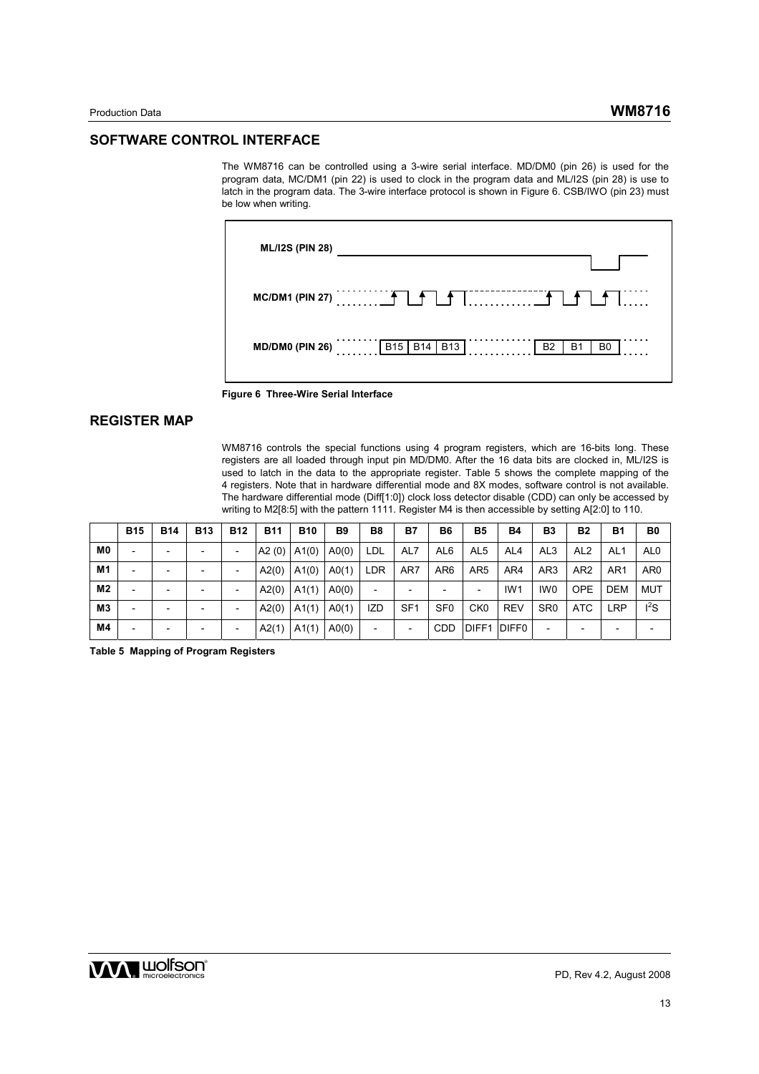#### **SOFTWARE CONTROL INTERFACE**

The WM8716 can be controlled using a 3-wire serial interface. MD/DM0 (pin 26) is used for the program data, MC/DM1 (pin 22) is used to clock in the program data and ML/I2S (pin 28) is use to latch in the program data. The 3-wire interface protocol is shown in Figure 6. CSB/IWO (pin 23) must be low when writing.





# **REGISTER MAP**

WM8716 controls the special functions using 4 program registers, which are 16-bits long. These registers are all loaded through input pin MD/DM0. After the 16 data bits are clocked in, ML/I2S is used to latch in the data to the appropriate register. Table 5 shows the complete mapping of the 4 registers. Note that in hardware differential mode and 8X modes, software control is not available. The hardware differential mode (Diff[1:0]) clock loss detector disable (CDD) can only be accessed by writing to M2[8:5] with the pattern 1111. Register M4 is then accessible by setting A[2:0] to 110.

|                | <b>B15</b> | <b>B14</b>               | <b>B13</b> | <b>B12</b> | <b>B11</b> | <b>B10</b> | B <sub>9</sub> | B <sub>8</sub>           | B7              | <b>B6</b>       | <b>B5</b>         | <b>B4</b>         | B3              | <b>B2</b>       | <b>B1</b>       | B <sub>0</sub>  |
|----------------|------------|--------------------------|------------|------------|------------|------------|----------------|--------------------------|-----------------|-----------------|-------------------|-------------------|-----------------|-----------------|-----------------|-----------------|
| M <sub>0</sub> |            |                          |            |            | A2(0)      | A1(0)      | A0(0)          | LDL                      | AL7             | AL <sub>6</sub> | AL <sub>5</sub>   | AL <sub>4</sub>   | AL <sub>3</sub> | AL <sub>2</sub> | AL <sub>1</sub> | AL <sub>0</sub> |
| M <sub>1</sub> |            |                          |            |            | A2(0)      | A1(0)      | A0(1)          | LDR                      | AR7             | AR <sub>6</sub> | AR <sub>5</sub>   | AR4               | AR <sub>3</sub> | AR <sub>2</sub> | AR <sub>1</sub> | AR <sub>0</sub> |
| M <sub>2</sub> |            |                          |            |            | A2(0)      | A1(1)      | A0(0)          |                          |                 |                 |                   | IW <sub>1</sub>   | IW <sub>0</sub> | <b>OPE</b>      | <b>DEM</b>      | <b>MUT</b>      |
| M <sub>3</sub> |            |                          |            |            | A2(0)      | A1(1)      | A0(1)          | IZD                      | SF <sub>1</sub> | SF <sub>0</sub> | CK <sub>0</sub>   | <b>REV</b>        | SR <sub>0</sub> | <b>ATC</b>      | <b>LRP</b>      | $I^2S$          |
| M4             |            | $\overline{\phantom{0}}$ |            |            | A2(1)      | A1(1)      | A0(0)          | $\overline{\phantom{0}}$ |                 | <b>CDD</b>      | DIFF <sub>1</sub> | DIFF <sub>0</sub> |                 |                 |                 |                 |

**Table 5 Mapping of Program Registers** 

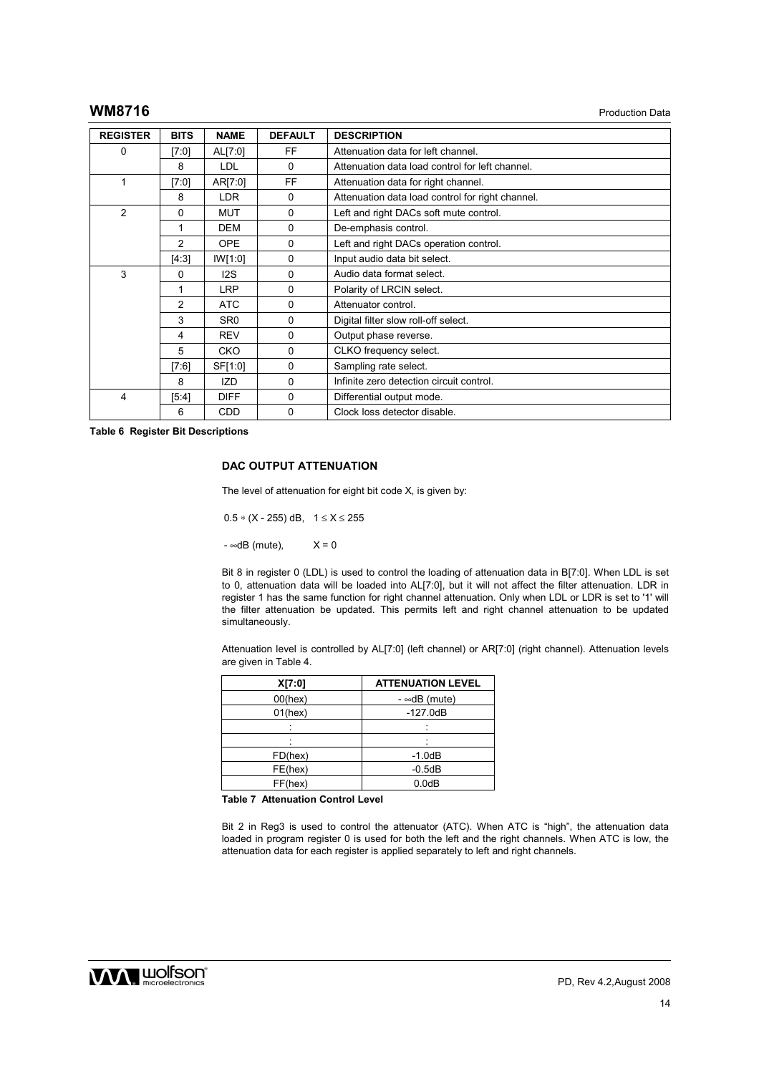### **WM8716** Production Data

| <b>REGISTER</b> | <b>BITS</b>    | <b>NAME</b>     | <b>DEFAULT</b> | <b>DESCRIPTION</b>                               |
|-----------------|----------------|-----------------|----------------|--------------------------------------------------|
| 0               | [7:0]          | AL[7:0]         | FF             | Attenuation data for left channel.               |
|                 | 8              | <b>LDL</b>      | 0              | Attenuation data load control for left channel.  |
| 1               | [7:0]          | AR[7:0]         | FF             | Attenuation data for right channel.              |
|                 | 8              | LDR.            | $\mathbf{0}$   | Attenuation data load control for right channel. |
| $\overline{2}$  | 0              | <b>MUT</b>      | $\mathbf{0}$   | Left and right DACs soft mute control.           |
|                 |                | <b>DEM</b>      | $\mathbf{0}$   | De-emphasis control.                             |
|                 | $\overline{2}$ | <b>OPE</b>      | $\mathbf{0}$   | Left and right DACs operation control.           |
|                 | [4:3]          | IW[1:0]         | 0              | Input audio data bit select.                     |
| 3               | 0              | 12S             | 0              | Audio data format select.                        |
|                 |                | <b>LRP</b>      | 0              | Polarity of LRCIN select.                        |
|                 | 2              | <b>ATC</b>      | 0              | Attenuator control.                              |
|                 | 3              | SR <sub>0</sub> | $\mathbf{0}$   | Digital filter slow roll-off select.             |
|                 | 4              | <b>REV</b>      | $\mathbf{0}$   | Output phase reverse.                            |
|                 | 5              | <b>CKO</b>      | 0              | CLKO frequency select.                           |
|                 | [7:6]          | SF[1:0]         | 0              | Sampling rate select.                            |
|                 | 8              | IZD             | 0              | Infinite zero detection circuit control.         |
| 4               | [5:4]          | <b>DIFF</b>     | 0              | Differential output mode.                        |
|                 | 6              | <b>CDD</b>      | 0              | Clock loss detector disable.                     |

**Table 6 Register Bit Descriptions** 

#### **DAC OUTPUT ATTENUATION**

The level of attenuation for eight bit code X, is given by:

 $0.5 * (X - 255)$  dB,  $1 \le X \le 255$ 

 $-$  ∞dB (mute),  $X = 0$ 

Bit 8 in register 0 (LDL) is used to control the loading of attenuation data in B[7:0]. When LDL is set to 0, attenuation data will be loaded into AL[7:0], but it will not affect the filter attenuation. LDR in register 1 has the same function for right channel attenuation. Only when LDL or LDR is set to '1' will the filter attenuation be updated. This permits left and right channel attenuation to be updated simultaneously.

Attenuation level is controlled by AL[7:0] (left channel) or AR[7:0] (right channel). Attenuation levels are given in Table 4.

| X[7:0]     | <b>ATTENUATION LEVEL</b> |
|------------|--------------------------|
| $00$ (hex) | $-$ ∞dB (mute)           |
| $01$ (hex) | $-127.0dB$               |
|            |                          |
|            |                          |
| FD(hex)    | $-1.0dB$                 |
| FE(hex)    | $-0.5dB$                 |
| FF(hex)    | 0.0dB                    |

**Table 7 Attenuation Control Level** 

Bit 2 in Reg3 is used to control the attenuator (ATC). When ATC is "high", the attenuation data loaded in program register 0 is used for both the left and the right channels. When ATC is low, the attenuation data for each register is applied separately to left and right channels.

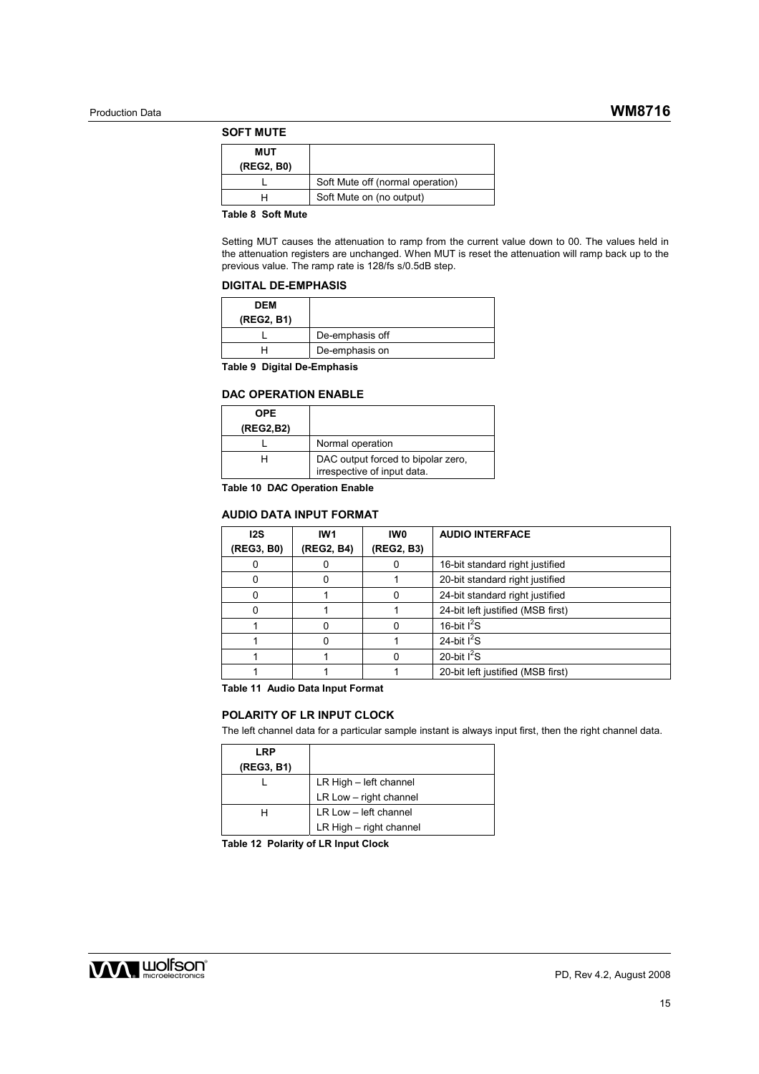#### **SOFT MUTE**

| MUT        |                                  |
|------------|----------------------------------|
| (REG2, B0) |                                  |
|            | Soft Mute off (normal operation) |
|            | Soft Mute on (no output)         |
|            |                                  |

**Table 8 Soft Mute** 

Setting MUT causes the attenuation to ramp from the current value down to 00. The values held in the attenuation registers are unchanged. When MUT is reset the attenuation will ramp back up to the previous value. The ramp rate is 128/fs s/0.5dB step.

#### **DIGITAL DE-EMPHASIS**

| DEM<br>(REG2, B1) |                 |
|-------------------|-----------------|
|                   | De-emphasis off |
|                   | De-emphasis on  |

**Table 9 Digital De-Emphasis** 

#### **DAC OPERATION ENABLE**

| <b>OPE</b><br>(REG2,B2) |                                                                   |
|-------------------------|-------------------------------------------------------------------|
|                         | Normal operation                                                  |
| н                       | DAC output forced to bipolar zero,<br>irrespective of input data. |

**Table 10 DAC Operation Enable** 

#### **AUDIO DATA INPUT FORMAT**

| 12S        | IW <sub>1</sub> | IW0        | <b>AUDIO INTERFACE</b>            |
|------------|-----------------|------------|-----------------------------------|
| (REG3, B0) | (REG2, B4)      | (REG2, B3) |                                   |
| 0          |                 |            | 16-bit standard right justified   |
|            |                 |            | 20-bit standard right justified   |
|            |                 |            | 24-bit standard right justified   |
|            |                 |            | 24-bit left justified (MSB first) |
|            |                 |            | 16-bit $I^2S$                     |
|            |                 |            | 24-bit $I^2S$                     |
|            |                 |            | 20-bit $I^2S$                     |
|            |                 |            | 20-bit left justified (MSB first) |

**Table 11 Audio Data Input Format** 

### **POLARITY OF LR INPUT CLOCK**

The left channel data for a particular sample instant is always input first, then the right channel data.

| LRP        |                         |
|------------|-------------------------|
| (REG3, B1) |                         |
|            | LR High - left channel  |
|            | LR Low - right channel  |
| н          | LR Low - left channel   |
|            | LR High - right channel |

**Table 12 Polarity of LR Input Clock** 

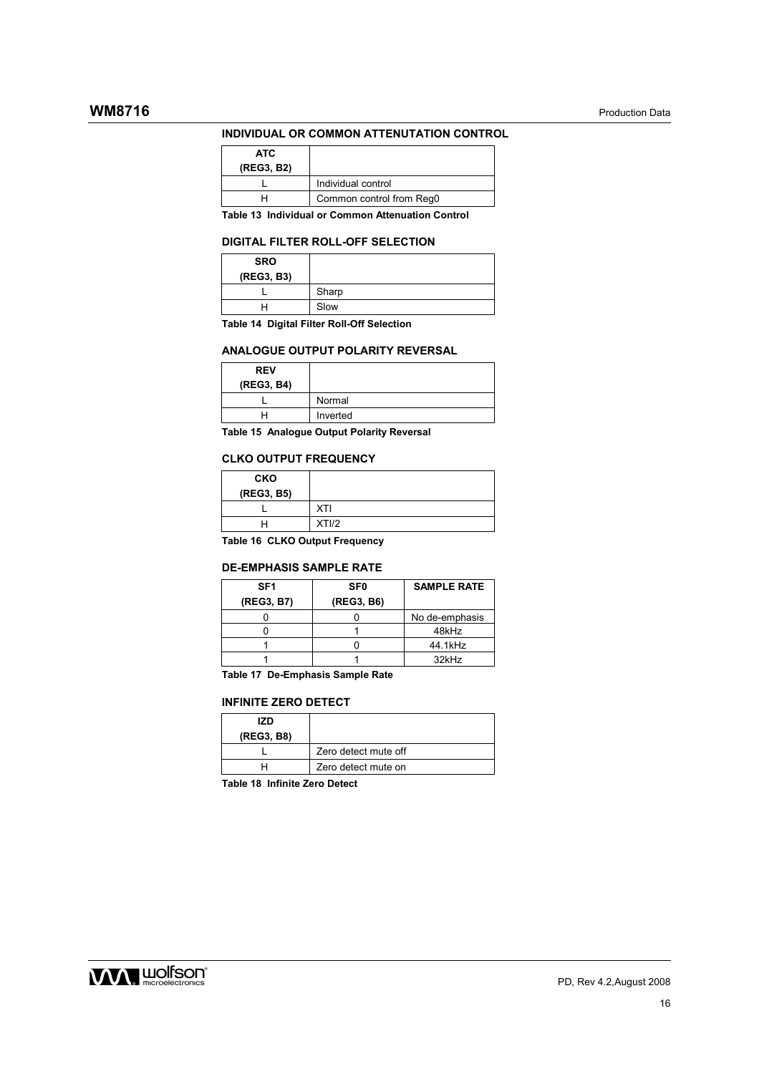#### **INDIVIDUAL OR COMMON ATTENUTATION CONTROL**

| ATC.<br>(REG3, B2) |                          |
|--------------------|--------------------------|
|                    | Individual control       |
|                    | Common control from Reg0 |

**Table 13 Individual or Common Attenuation Control** 

#### **DIGITAL FILTER ROLL-OFF SELECTION**

| <b>SRO</b><br>(REG3, B3) |       |
|--------------------------|-------|
|                          | Sharp |
|                          | Slow  |

**Table 14 Digital Filter Roll-Off Selection** 

#### **ANALOGUE OUTPUT POLARITY REVERSAL**

| <b>REV</b><br>(REG3, B4) |          |
|--------------------------|----------|
|                          | Normal   |
|                          | Inverted |

**Table 15 Analogue Output Polarity Reversal** 

#### **CLKO OUTPUT FREQUENCY**

| <b>CKO</b><br>(REG3, B5) |            |
|--------------------------|------------|
|                          | <b>XTI</b> |
|                          | XTI/2      |
| _ _ _ _ _                |            |

**Table 16 CLKO Output Frequency** 

#### **DE-EMPHASIS SAMPLE RATE**

| SF <sub>1</sub> | <b>SF0</b> | <b>SAMPLE RATE</b> |
|-----------------|------------|--------------------|
| (REG3, B7)      | (REG3, B6) |                    |
|                 |            | No de-emphasis     |
|                 |            | 48kHz              |
|                 |            | 44.1kHz            |
|                 |            | 32kHz              |

**Table 17 De-Emphasis Sample Rate** 

#### **INFINITE ZERO DETECT**

| 17D<br>(REG3, B8) |                      |
|-------------------|----------------------|
|                   | Zero detect mute off |
|                   | Zero detect mute on  |

**Table 18 Infinite Zero Detect** 

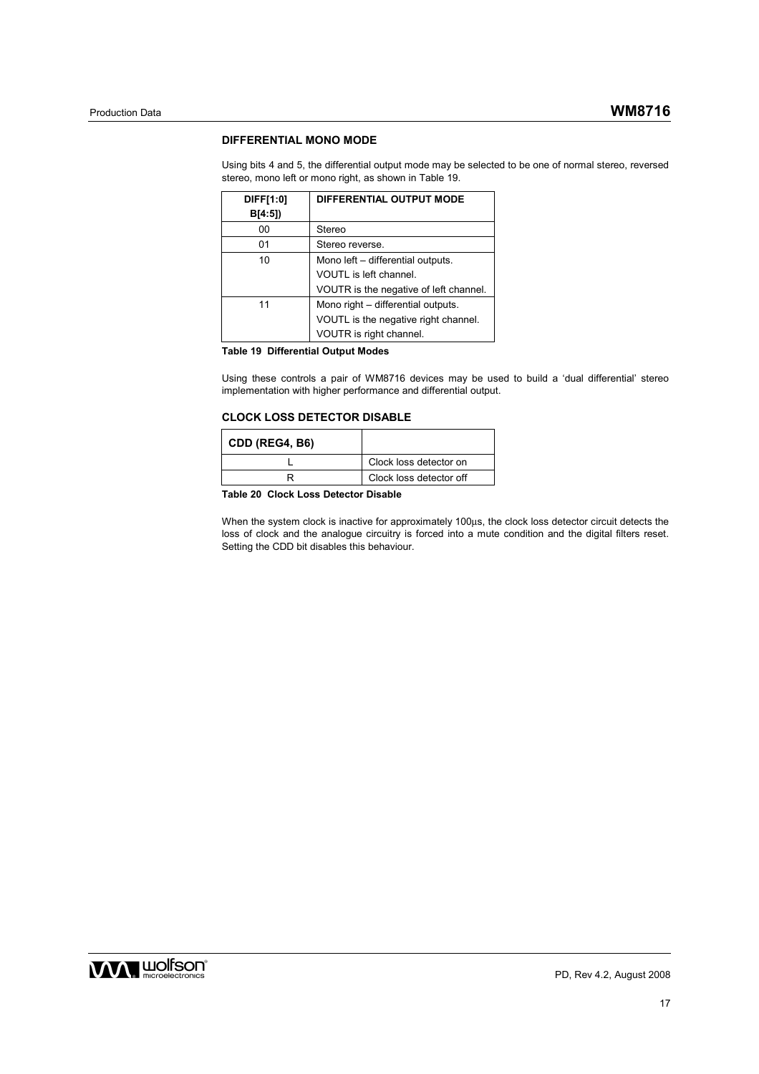#### **DIFFERENTIAL MONO MODE**

Using bits 4 and 5, the differential output mode may be selected to be one of normal stereo, reversed stereo, mono left or mono right, as shown in Table 19.

| DIFF[1:0]<br>B[4:5] | DIFFERENTIAL OUTPUT MODE               |
|---------------------|----------------------------------------|
| 00                  | Stereo                                 |
| 01                  | Stereo reverse.                        |
| 10                  | Mono left - differential outputs.      |
|                     | VOUTL is left channel.                 |
|                     | VOUTR is the negative of left channel. |
| 11                  | Mono right - differential outputs.     |
|                     | VOUTL is the negative right channel.   |
|                     | VOUTR is right channel.                |

**Table 19 Differential Output Modes** 

Using these controls a pair of WM8716 devices may be used to build a 'dual differential' stereo implementation with higher performance and differential output.

#### **CLOCK LOSS DETECTOR DISABLE**

| Clock loss detector on  |
|-------------------------|
| Clock loss detector off |
|                         |

**Table 20 Clock Loss Detector Disable** 

When the system clock is inactive for approximately 100us, the clock loss detector circuit detects the loss of clock and the analogue circuitry is forced into a mute condition and the digital filters reset. Setting the CDD bit disables this behaviour.

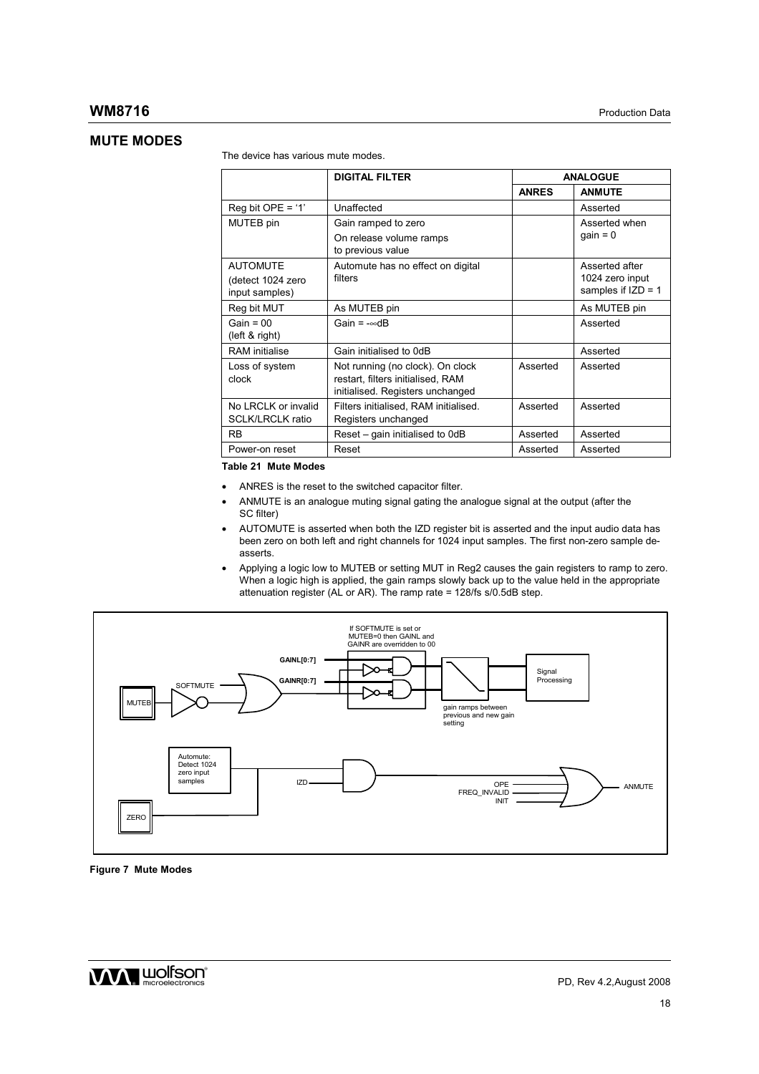## **MUTE MODES**

The device has various mute modes.

|                                                | <b>DIGITAL FILTER</b>                                                                                     | <b>ANALOGUE</b> |                                         |
|------------------------------------------------|-----------------------------------------------------------------------------------------------------------|-----------------|-----------------------------------------|
|                                                |                                                                                                           | <b>ANRES</b>    | <b>ANMUTE</b>                           |
| Reg bit OPE = '1'                              | Unaffected                                                                                                |                 | Asserted                                |
| MUTEB pin                                      | Gain ramped to zero                                                                                       |                 | Asserted when<br>$gain = 0$             |
|                                                | On release volume ramps<br>to previous value                                                              |                 |                                         |
| <b>AUTOMUTE</b>                                | Automute has no effect on digital                                                                         |                 | Asserted after                          |
| (detect 1024 zero<br>input samples)            | filters                                                                                                   |                 | 1024 zero input<br>samples if $IZD = 1$ |
| Reg bit MUT                                    | As MUTEB pin                                                                                              |                 | As MUTEB pin                            |
| Gain = $00$<br>(left & right)                  | Gain = $-\infty$ dB                                                                                       |                 | Asserted                                |
| RAM initialise                                 | Gain initialised to 0dB                                                                                   |                 | Asserted                                |
| Loss of system<br>clock                        | Not running (no clock). On clock<br>restart, filters initialised, RAM<br>initialised. Registers unchanged | Asserted        | Asserted                                |
| No LRCLK or invalid<br><b>SCLK/LRCLK ratio</b> | Filters initialised, RAM initialised.<br>Registers unchanged                                              | Asserted        | Asserted                                |
| RB                                             | Reset – gain initialised to 0dB                                                                           | Asserted        | Asserted                                |
| Power-on reset                                 | Reset                                                                                                     | Asserted        | Asserted                                |

**Table 21 Mute Modes** 

- ANRES is the reset to the switched capacitor filter.
- ANMUTE is an analogue muting signal gating the analogue signal at the output (after the SC filter)
- AUTOMUTE is asserted when both the IZD register bit is asserted and the input audio data has been zero on both left and right channels for 1024 input samples. The first non-zero sample deasserts.
- Applying a logic low to MUTEB or setting MUT in Reg2 causes the gain registers to ramp to zero. When a logic high is applied, the gain ramps slowly back up to the value held in the appropriate attenuation register (AL or AR). The ramp rate = 128/fs s/0.5dB step.



**Figure 7 Mute Modes** 

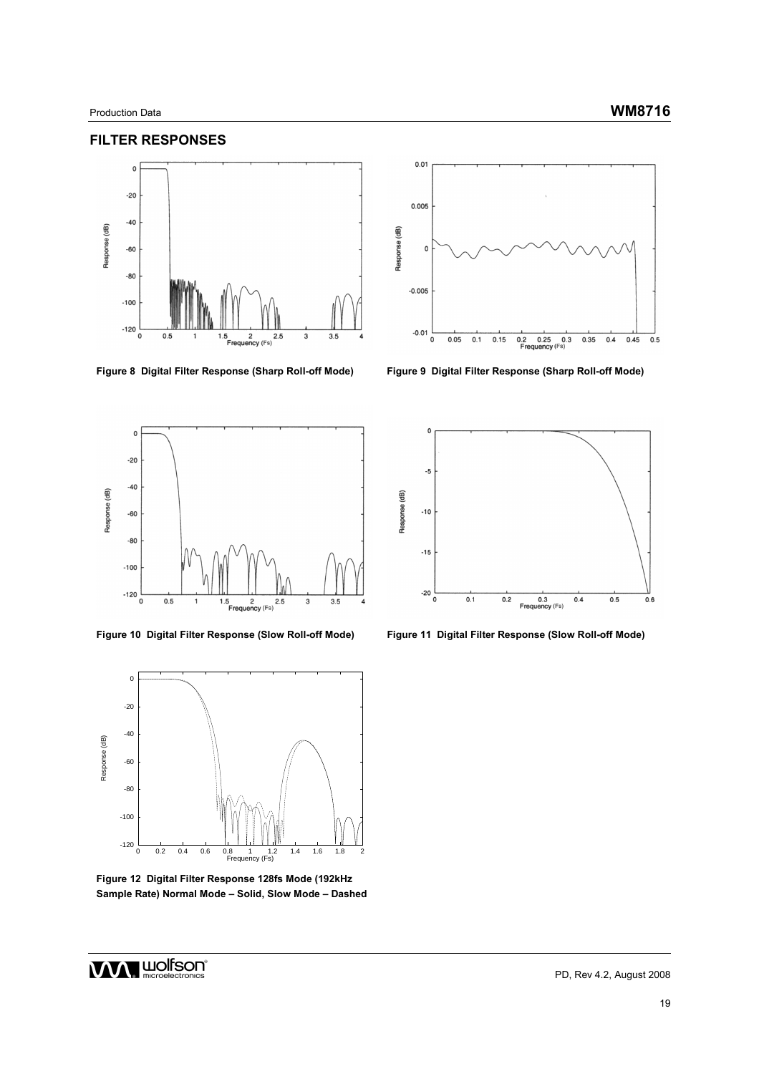### **FILTER RESPONSES**



**Figure 8 Digital Filter Response (Sharp Roll-off Mode) Figure 9 Digital Filter Response (Sharp Roll-off Mode)** 





**Figure 12 Digital Filter Response 128fs Mode (192kHz Sample Rate) Normal Mode – Solid, Slow Mode – Dashed** 





**Figure 10 Digital Filter Response (Slow Roll-off Mode) Figure 11 Digital Filter Response (Slow Roll-off Mode)**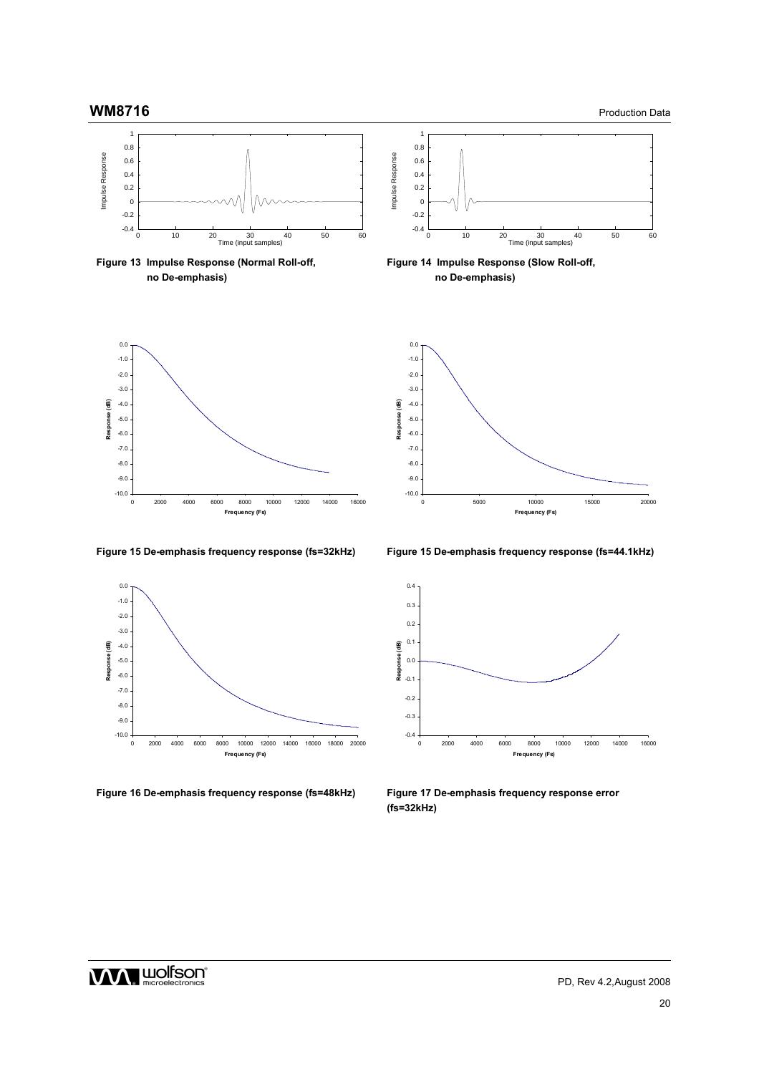



**Figure 16 De-emphasis frequency response (fs=48kHz) Figure 17 De-emphasis frequency response error** 

**Figure 15 De-emphasis frequency response (fs=32kHz) Figure 15 De-emphasis frequency response (fs=44.1kHz)** 



**(fs=32kHz)**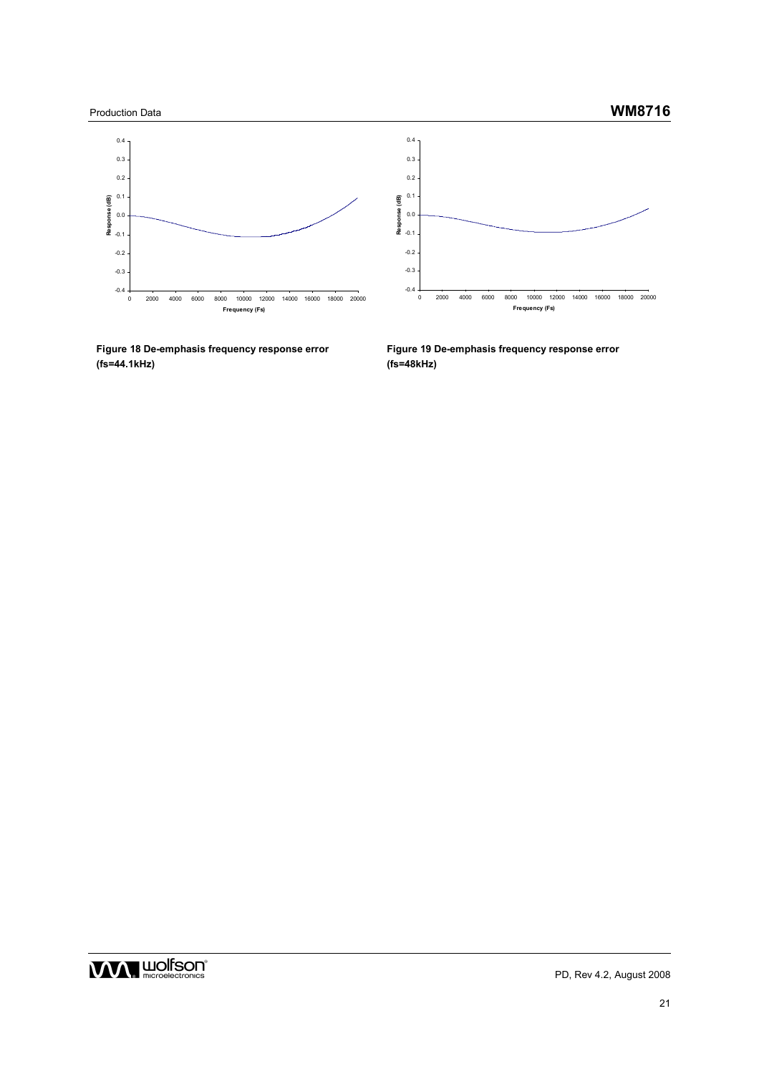









0.4

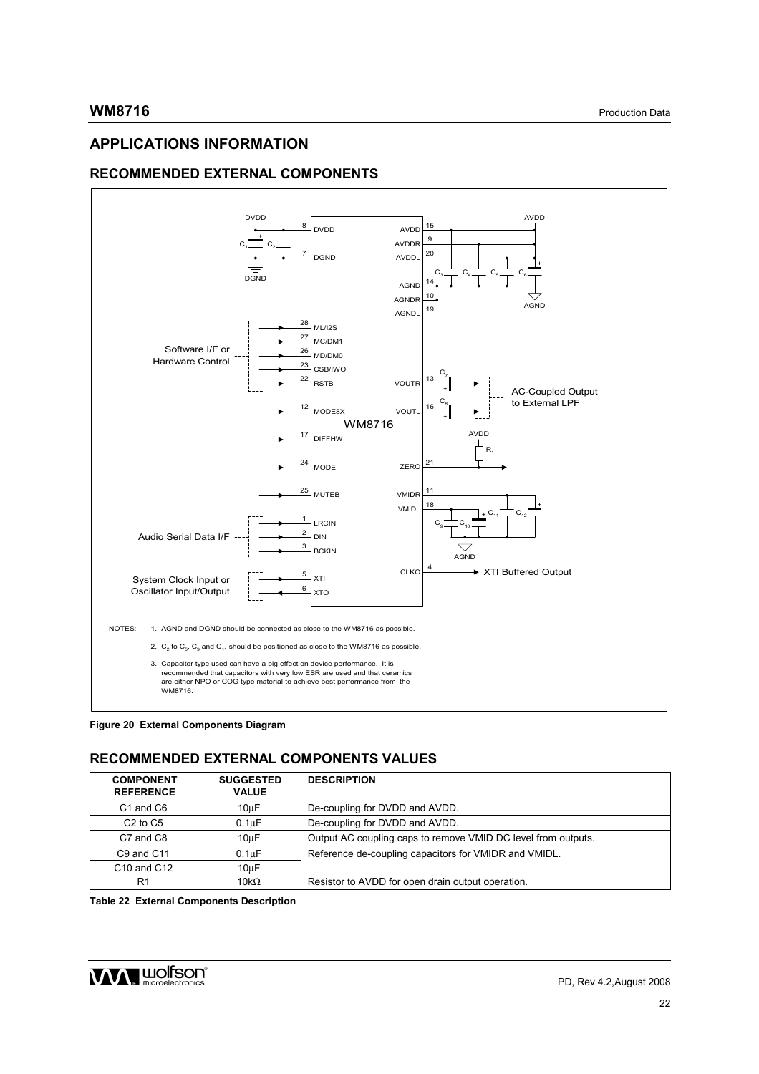# **APPLICATIONS INFORMATION**

# **RECOMMENDED EXTERNAL COMPONENTS**



**Figure 20 External Components Diagram** 

# **RECOMMENDED EXTERNAL COMPONENTS VALUES**

| <b>COMPONENT</b><br><b>REFERENCE</b> | <b>SUGGESTED</b><br><b>VALUE</b> | <b>DESCRIPTION</b>                                            |  |
|--------------------------------------|----------------------------------|---------------------------------------------------------------|--|
| C <sub>1</sub> and C <sub>6</sub>    | 10uF                             | De-coupling for DVDD and AVDD.                                |  |
| $C2$ to $C5$                         | 0.1 <sub>u</sub> F               | De-coupling for DVDD and AVDD.                                |  |
| C7 and C8                            | 10 <sub>u</sub> F                | Output AC coupling caps to remove VMID DC level from outputs. |  |
| C9 and C11                           | 0.1 <sub>u</sub> F               | Reference de-coupling capacitors for VMIDR and VMIDL.         |  |
| C <sub>10</sub> and C <sub>12</sub>  | 10 <sub>u</sub> F                |                                                               |  |
| R1                                   | 10k $\Omega$                     | Resistor to AVDD for open drain output operation.             |  |

**Table 22 External Components Description** 

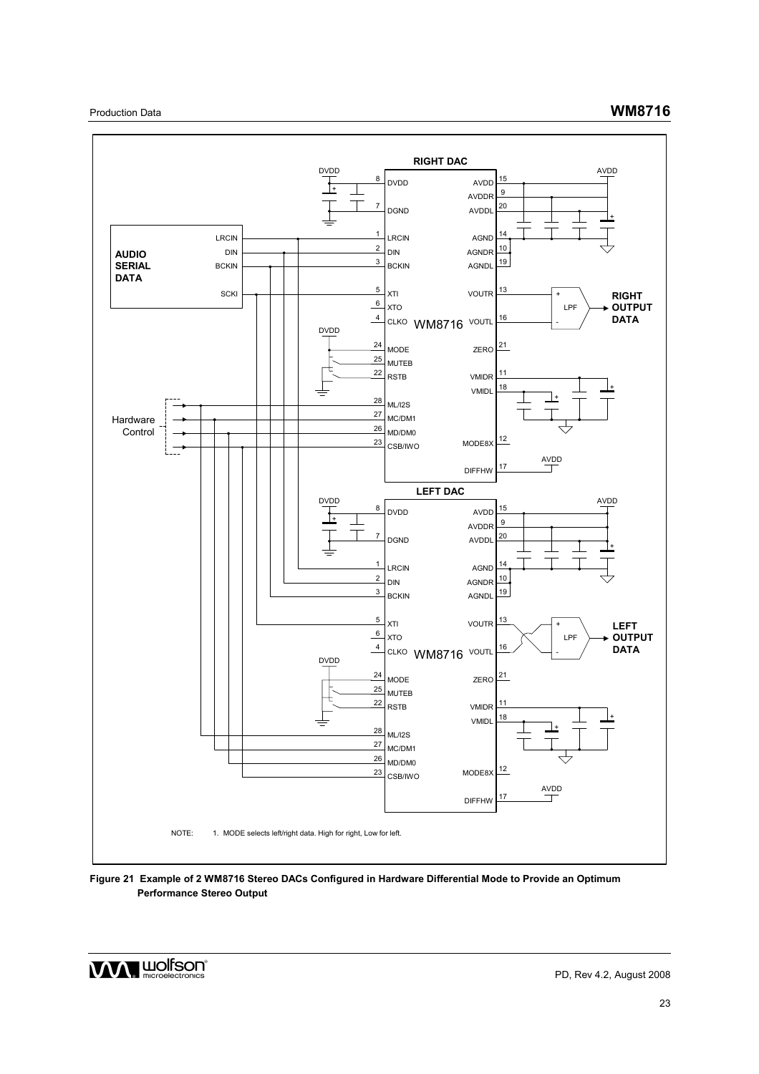

**Figure 21 Example of 2 WM8716 Stereo DACs Configured in Hardware Differential Mode to Provide an Optimum Performance Stereo Output** 

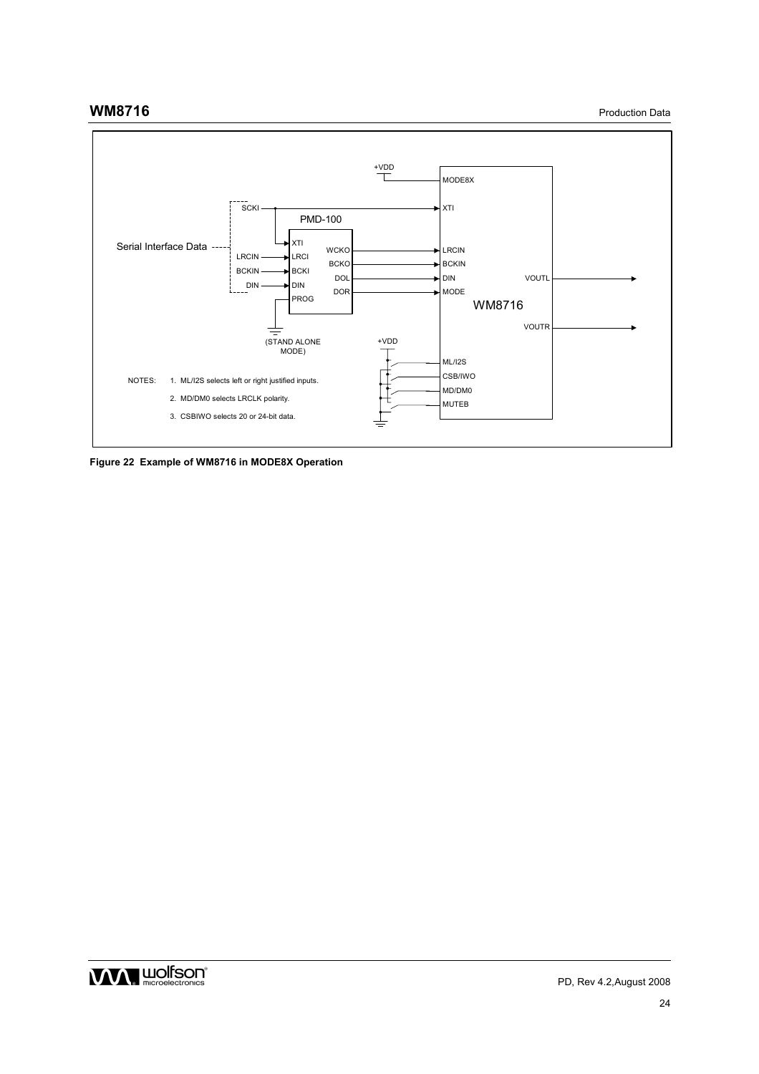**WM8716** Production Data



**Figure 22 Example of WM8716 in MODE8X Operation** 

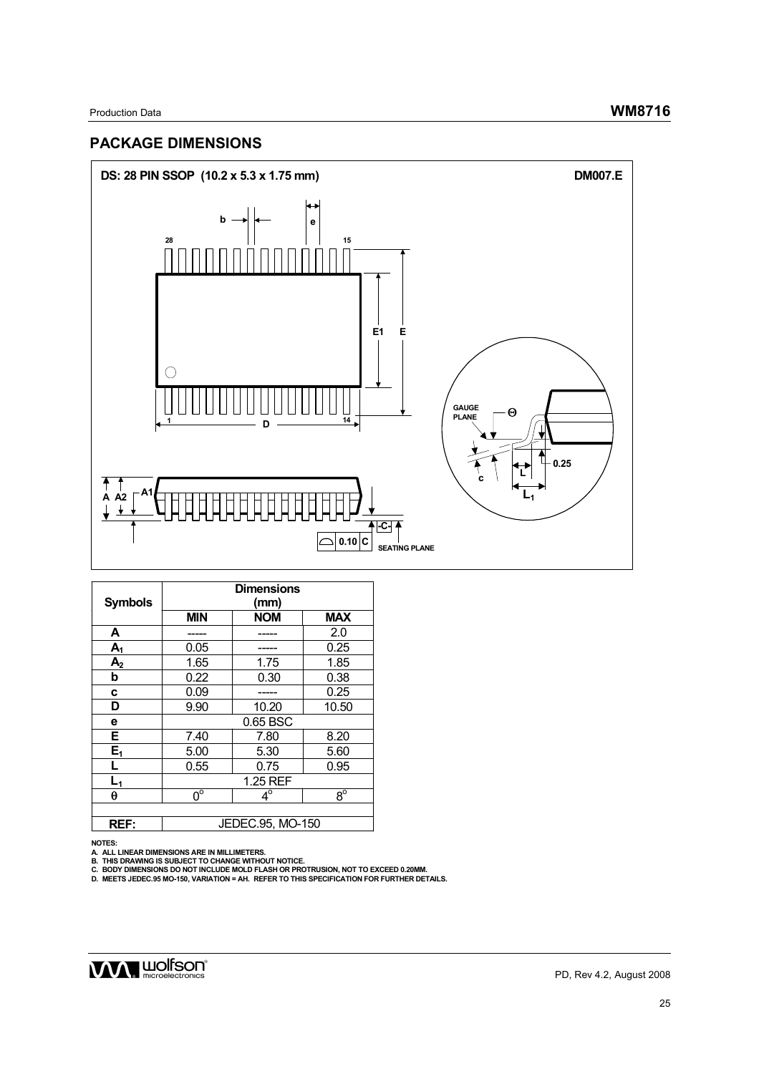# **PACKAGE DIMENSIONS**



| <b>Symbols</b> | <b>Dimensions</b><br>(mm) |            |             |  |
|----------------|---------------------------|------------|-------------|--|
|                | <b>MIN</b>                | <b>NOM</b> | <b>MAX</b>  |  |
| A              |                           |            | 2.0         |  |
| $A_1$          | 0.05                      |            | 0.25        |  |
| A <sub>2</sub> | 1.65<br>1.75<br>1.85      |            |             |  |
| b              | 0.22                      | 0.30       | 0.38        |  |
| c              | 0.09                      |            | 0.25        |  |
| D              | 9.90                      | 10.20      | 10.50       |  |
| е              | 0.65 BSC                  |            |             |  |
| Е              | 8.20<br>7.40<br>7.80      |            |             |  |
| $E_1$          | 5.00<br>5.30<br>5.60      |            |             |  |
| L              | 0.55                      | 0.75       | 0.95        |  |
| $L_1$          | 1.25 REF                  |            |             |  |
| θ              | $0^{\circ}$               | $4^\circ$  | $8^{\circ}$ |  |
|                |                           |            |             |  |
| REF:           | JEDEC.95, MO-150          |            |             |  |

NOTES:<br>A. ALL LINEAR DIMENSIONS ARE IN MILLIMETERS.<br>B. THIS DRAWING IS SUBJECT TO CHANGE WITHOUT NOTICE.<br>C. BODY DIMENSIONS DO NOT INCLUDE MOLD FLASH OR PROTRUSION, NOT TO EXCEED 0.20MM.<br>D. MEETS JEDEC.95 MO-150, VARIATION